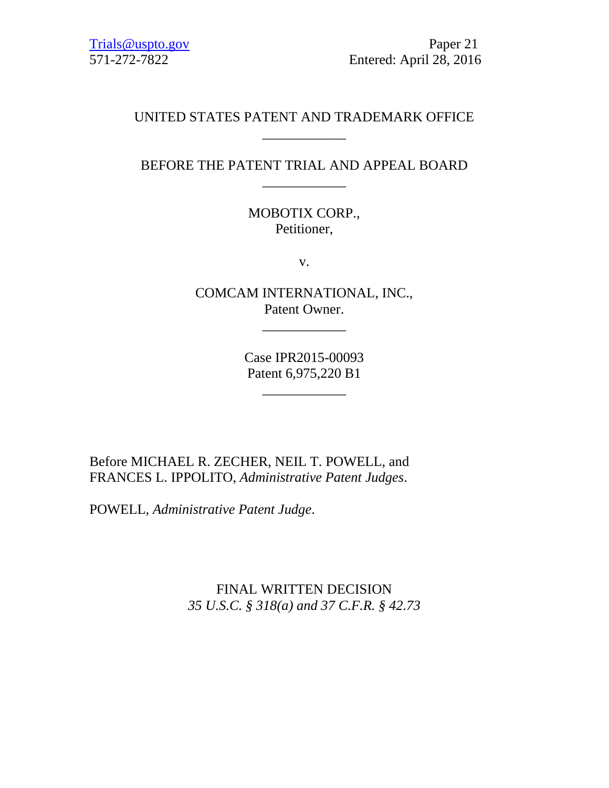# UNITED STATES PATENT AND TRADEMARK OFFICE \_\_\_\_\_\_\_\_\_\_\_\_

# BEFORE THE PATENT TRIAL AND APPEAL BOARD \_\_\_\_\_\_\_\_\_\_\_\_

MOBOTIX CORP., Petitioner,

v.

COMCAM INTERNATIONAL, INC., Patent Owner.

\_\_\_\_\_\_\_\_\_\_\_\_

Case IPR2015-00093 Patent 6,975,220 B1

\_\_\_\_\_\_\_\_\_\_\_\_

Before MICHAEL R. ZECHER, NEIL T. POWELL, and FRANCES L. IPPOLITO, *Administrative Patent Judges*.

POWELL, *Administrative Patent Judge*.

FINAL WRITTEN DECISION *35 U.S.C. § 318(a) and 37 C.F.R. § 42.73*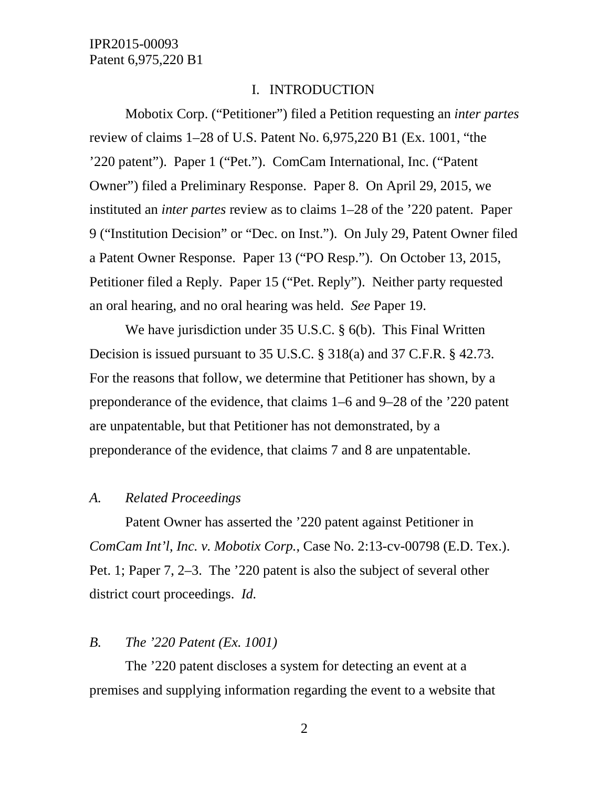#### I. INTRODUCTION

Mobotix Corp. ("Petitioner") filed a Petition requesting an *inter partes* review of claims 1–28 of U.S. Patent No. 6,975,220 B1 (Ex. 1001, "the '220 patent"). Paper 1 ("Pet."). ComCam International, Inc. ("Patent Owner") filed a Preliminary Response. Paper 8. On April 29, 2015, we instituted an *inter partes* review as to claims 1–28 of the '220 patent. Paper 9 ("Institution Decision" or "Dec. on Inst."). On July 29, Patent Owner filed a Patent Owner Response. Paper 13 ("PO Resp."). On October 13, 2015, Petitioner filed a Reply. Paper 15 ("Pet. Reply"). Neither party requested an oral hearing, and no oral hearing was held. *See* Paper 19.

We have jurisdiction under 35 U.S.C. § 6(b). This Final Written Decision is issued pursuant to 35 U.S.C. § 318(a) and 37 C.F.R. § 42.73. For the reasons that follow, we determine that Petitioner has shown, by a preponderance of the evidence, that claims 1–6 and 9–28 of the '220 patent are unpatentable, but that Petitioner has not demonstrated, by a preponderance of the evidence, that claims 7 and 8 are unpatentable.

#### *A. Related Proceedings*

Patent Owner has asserted the '220 patent against Petitioner in *ComCam Int'l, Inc. v. Mobotix Corp.*, Case No. 2:13-cv-00798 (E.D. Tex.). Pet. 1; Paper 7, 2–3. The '220 patent is also the subject of several other district court proceedings. *Id.*

#### *B. The '220 Patent (Ex. 1001)*

The '220 patent discloses a system for detecting an event at a premises and supplying information regarding the event to a website that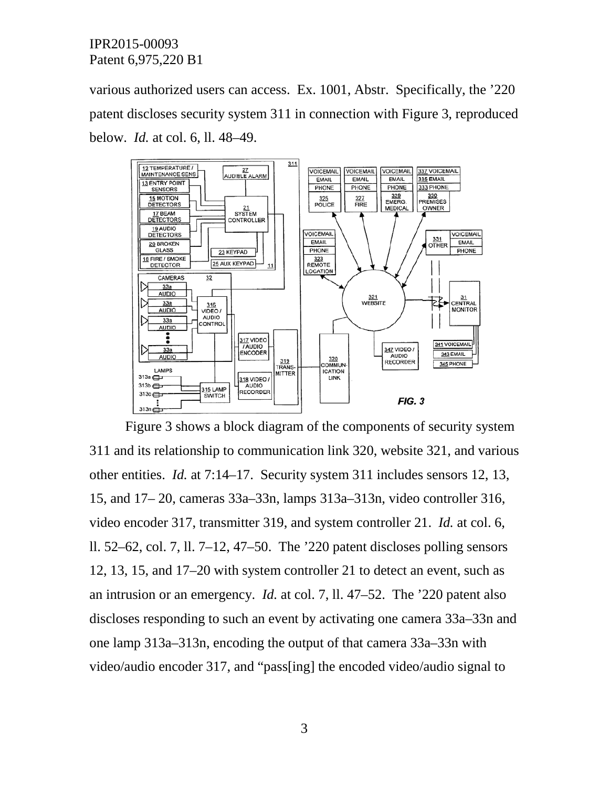various authorized users can access. Ex. 1001, Abstr. Specifically, the '220 patent discloses security system 311 in connection with Figure 3, reproduced below. *Id.* at col. 6, ll. 48–49.



Figure 3 shows a block diagram of the components of security system 311 and its relationship to communication link 320, website 321, and various other entities. *Id.* at 7:14–17. Security system 311 includes sensors 12, 13, 15, and 17– 20, cameras 33a–33n, lamps 313a–313n, video controller 316, video encoder 317, transmitter 319, and system controller 21. *Id.* at col. 6, ll. 52–62, col. 7, ll. 7–12, 47–50. The '220 patent discloses polling sensors 12, 13, 15, and 17–20 with system controller 21 to detect an event, such as an intrusion or an emergency. *Id.* at col. 7, ll. 47–52. The '220 patent also discloses responding to such an event by activating one camera 33a–33n and one lamp 313a–313n, encoding the output of that camera 33a–33n with video/audio encoder 317, and "pass[ing] the encoded video/audio signal to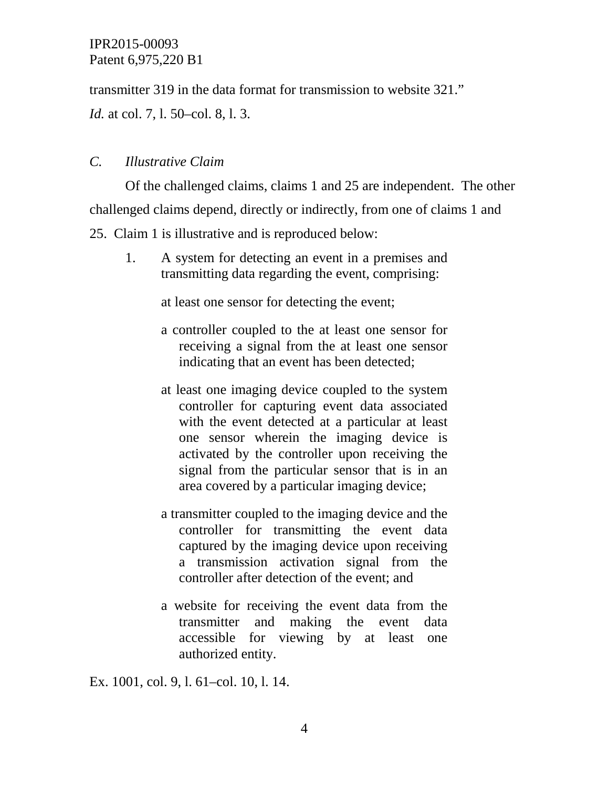transmitter 319 in the data format for transmission to website 321."

*Id.* at col. 7, l. 50–col. 8, l. 3.

# *C. Illustrative Claim*

Of the challenged claims, claims 1 and 25 are independent. The other challenged claims depend, directly or indirectly, from one of claims 1 and

25. Claim 1 is illustrative and is reproduced below:

1. A system for detecting an event in a premises and transmitting data regarding the event, comprising:

at least one sensor for detecting the event;

- a controller coupled to the at least one sensor for receiving a signal from the at least one sensor indicating that an event has been detected;
- at least one imaging device coupled to the system controller for capturing event data associated with the event detected at a particular at least one sensor wherein the imaging device is activated by the controller upon receiving the signal from the particular sensor that is in an area covered by a particular imaging device;
- a transmitter coupled to the imaging device and the controller for transmitting the event data captured by the imaging device upon receiving a transmission activation signal from the controller after detection of the event; and
- a website for receiving the event data from the transmitter and making the event data accessible for viewing by at least one authorized entity.

Ex. 1001, col. 9, l. 61–col. 10, l. 14.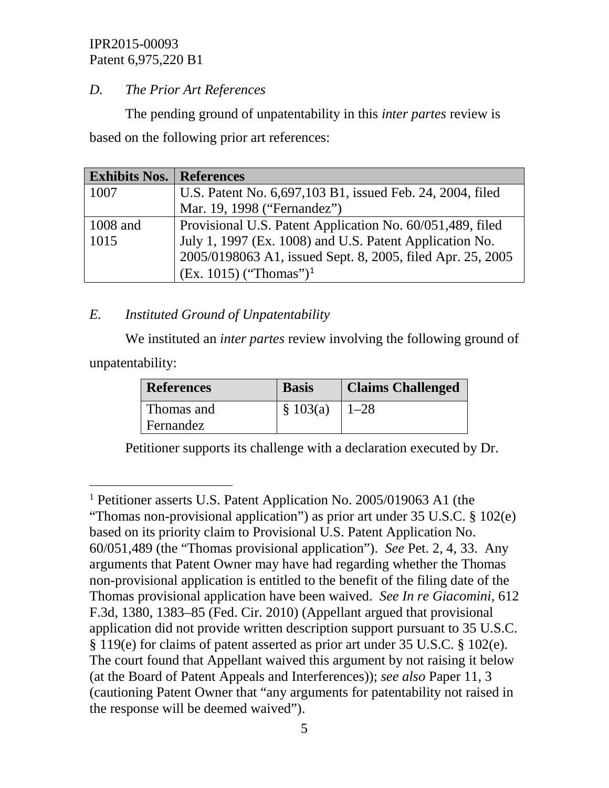# *D. The Prior Art References*

The pending ground of unpatentability in this *inter partes* review is based on the following prior art references:

| <b>Exhibits Nos.   References</b> |                                                            |
|-----------------------------------|------------------------------------------------------------|
| 1007                              | U.S. Patent No. 6,697,103 B1, issued Feb. 24, 2004, filed  |
|                                   | Mar. 19, 1998 ("Fernandez")                                |
| 1008 and                          | Provisional U.S. Patent Application No. 60/051,489, filed  |
| 1015                              | July 1, 1997 (Ex. 1008) and U.S. Patent Application No.    |
|                                   | 2005/0198063 A1, issued Sept. 8, 2005, filed Apr. 25, 2005 |
|                                   | $(Ex. 1015)$ ("Thomas") <sup>1</sup>                       |

# *E. Instituted Ground of Unpatentability*

We instituted an *inter partes* review involving the following ground of unpatentability:

| <b>References</b> | <b>Basis</b> | <b>Claims Challenged</b> |
|-------------------|--------------|--------------------------|
| Thomas and        | \$103(a)     | $1 - 28$                 |
| Fernandez         |              |                          |

Petitioner supports its challenge with a declaration executed by Dr.

<span id="page-4-0"></span> <sup>1</sup> Petitioner asserts U.S. Patent Application No. 2005/019063 A1 (the "Thomas non-provisional application") as prior art under 35 U.S.C. § 102(e) based on its priority claim to Provisional U.S. Patent Application No. 60/051,489 (the "Thomas provisional application"). *See* Pet. 2, 4, 33. Any arguments that Patent Owner may have had regarding whether the Thomas non-provisional application is entitled to the benefit of the filing date of the Thomas provisional application have been waived. *See In re Giacomini*, 612 F.3d, 1380, 1383–85 (Fed. Cir. 2010) (Appellant argued that provisional application did not provide written description support pursuant to 35 U.S.C. § 119(e) for claims of patent asserted as prior art under 35 U.S.C. § 102(e). The court found that Appellant waived this argument by not raising it below (at the Board of Patent Appeals and Interferences)); *see also* Paper 11, 3 (cautioning Patent Owner that "any arguments for patentability not raised in the response will be deemed waived").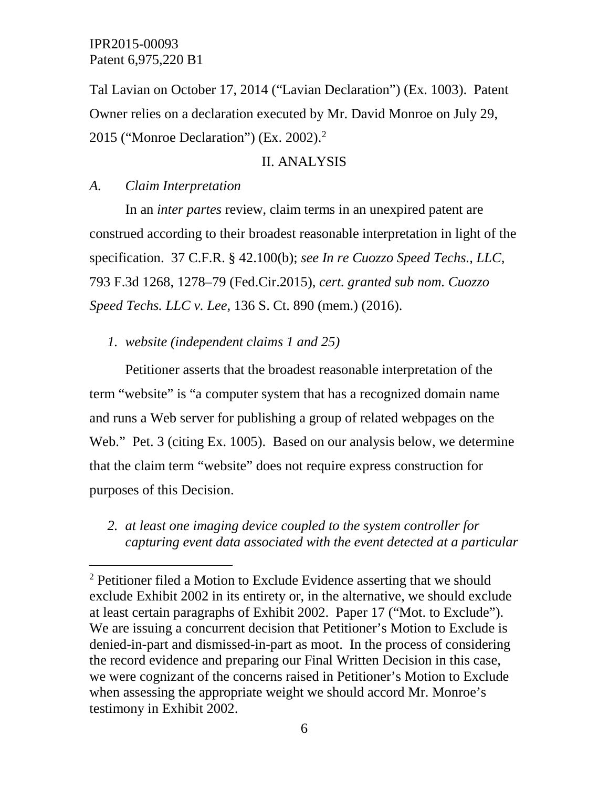Tal Lavian on October 17, 2014 ("Lavian Declaration") (Ex. 1003). Patent Owner relies on a declaration executed by Mr. David Monroe on July 29, 2015 ("Monroe Declaration") (Ex. 2002).[2](#page-5-0)

#### II. ANALYSIS

#### *A. Claim Interpretation*

In an *inter partes* review, claim terms in an unexpired patent are construed according to their broadest reasonable interpretation in light of the specification. 37 C.F.R. § 42.100(b); *see In re Cuozzo Speed Techs., LLC,* 793 F.3d 1268, 1278–79 (Fed.Cir.2015), *cert. granted sub nom. Cuozzo Speed Techs. LLC v. Lee*, 136 S. Ct. 890 (mem.) (2016).

*1. website (independent claims 1 and 25)*

Petitioner asserts that the broadest reasonable interpretation of the term "website" is "a computer system that has a recognized domain name and runs a Web server for publishing a group of related webpages on the Web." Pet. 3 (citing Ex. 1005). Based on our analysis below, we determine that the claim term "website" does not require express construction for purposes of this Decision.

*2. at least one imaging device coupled to the system controller for capturing event data associated with the event detected at a particular* 

<span id="page-5-0"></span><sup>&</sup>lt;sup>2</sup> Petitioner filed a Motion to Exclude Evidence asserting that we should exclude Exhibit 2002 in its entirety or, in the alternative, we should exclude at least certain paragraphs of Exhibit 2002. Paper 17 ("Mot. to Exclude"). We are issuing a concurrent decision that Petitioner's Motion to Exclude is denied-in-part and dismissed-in-part as moot. In the process of considering the record evidence and preparing our Final Written Decision in this case, we were cognizant of the concerns raised in Petitioner's Motion to Exclude when assessing the appropriate weight we should accord Mr. Monroe's testimony in Exhibit 2002.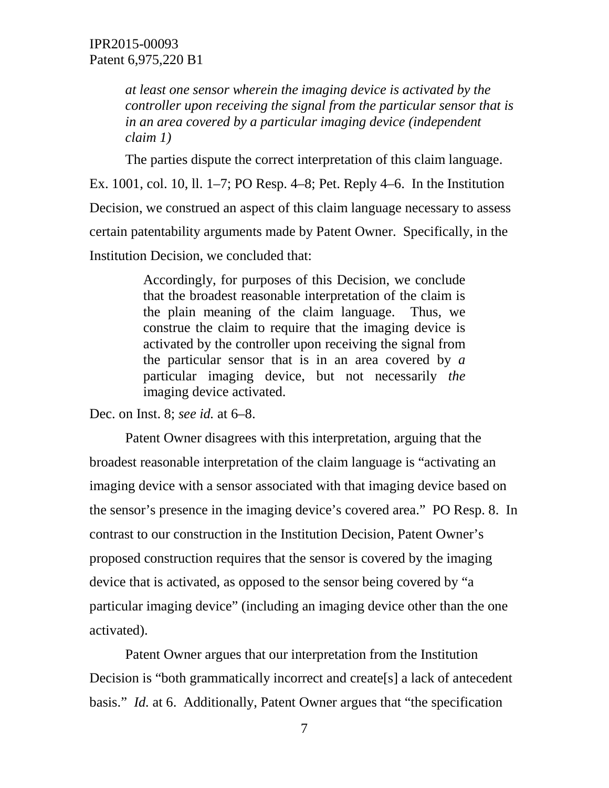*at least one sensor wherein the imaging device is activated by the controller upon receiving the signal from the particular sensor that is in an area covered by a particular imaging device (independent claim 1)*

The parties dispute the correct interpretation of this claim language.

Ex. 1001, col. 10, ll. 1–7; PO Resp. 4–8; Pet. Reply 4–6. In the Institution Decision, we construed an aspect of this claim language necessary to assess certain patentability arguments made by Patent Owner. Specifically, in the Institution Decision, we concluded that:

> Accordingly, for purposes of this Decision, we conclude that the broadest reasonable interpretation of the claim is the plain meaning of the claim language. Thus, we construe the claim to require that the imaging device is activated by the controller upon receiving the signal from the particular sensor that is in an area covered by *a*  particular imaging device, but not necessarily *the*  imaging device activated.

Dec. on Inst. 8; *see id.* at 6–8.

Patent Owner disagrees with this interpretation, arguing that the broadest reasonable interpretation of the claim language is "activating an imaging device with a sensor associated with that imaging device based on the sensor's presence in the imaging device's covered area." PO Resp. 8. In contrast to our construction in the Institution Decision, Patent Owner's proposed construction requires that the sensor is covered by the imaging device that is activated, as opposed to the sensor being covered by "a particular imaging device" (including an imaging device other than the one activated).

Patent Owner argues that our interpretation from the Institution Decision is "both grammatically incorrect and create[s] a lack of antecedent basis." *Id.* at 6. Additionally, Patent Owner argues that "the specification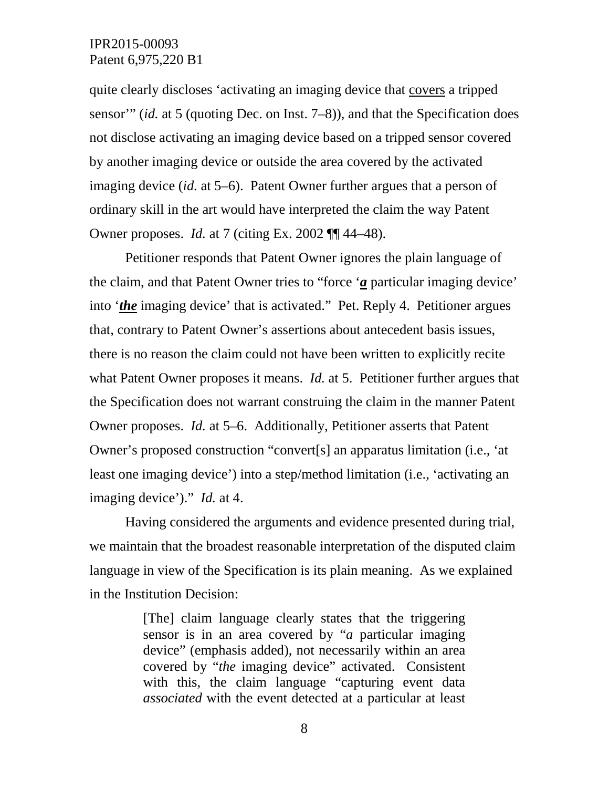quite clearly discloses 'activating an imaging device that covers a tripped sensor'" (*id.* at 5 (quoting Dec. on Inst. 7–8)), and that the Specification does not disclose activating an imaging device based on a tripped sensor covered by another imaging device or outside the area covered by the activated imaging device (*id.* at 5–6). Patent Owner further argues that a person of ordinary skill in the art would have interpreted the claim the way Patent Owner proposes. *Id.* at 7 (citing Ex. 2002 ¶¶ 44–48).

Petitioner responds that Patent Owner ignores the plain language of the claim, and that Patent Owner tries to "force '*a* particular imaging device' into '*the* imaging device' that is activated." Pet. Reply 4. Petitioner argues that, contrary to Patent Owner's assertions about antecedent basis issues, there is no reason the claim could not have been written to explicitly recite what Patent Owner proposes it means. *Id.* at 5. Petitioner further argues that the Specification does not warrant construing the claim in the manner Patent Owner proposes. *Id.* at 5–6. Additionally, Petitioner asserts that Patent Owner's proposed construction "convert[s] an apparatus limitation (i.e., 'at least one imaging device') into a step/method limitation (i.e., 'activating an imaging device')." *Id.* at 4.

Having considered the arguments and evidence presented during trial, we maintain that the broadest reasonable interpretation of the disputed claim language in view of the Specification is its plain meaning. As we explained in the Institution Decision:

> [The] claim language clearly states that the triggering sensor is in an area covered by "*a* particular imaging device" (emphasis added), not necessarily within an area covered by "*the* imaging device" activated. Consistent with this, the claim language "capturing event data *associated* with the event detected at a particular at least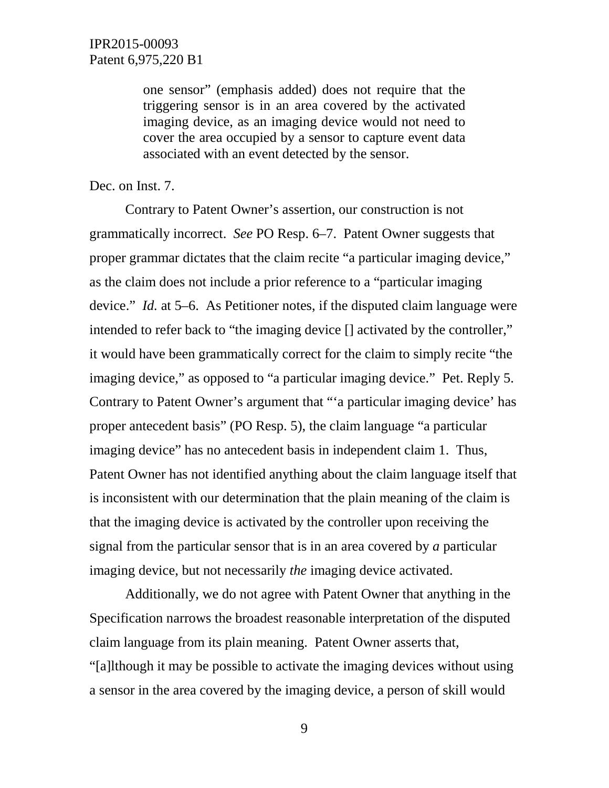one sensor" (emphasis added) does not require that the triggering sensor is in an area covered by the activated imaging device, as an imaging device would not need to cover the area occupied by a sensor to capture event data associated with an event detected by the sensor.

Dec. on Inst. 7.

Contrary to Patent Owner's assertion, our construction is not grammatically incorrect. *See* PO Resp. 6–7. Patent Owner suggests that proper grammar dictates that the claim recite "a particular imaging device," as the claim does not include a prior reference to a "particular imaging device." *Id.* at 5–6. As Petitioner notes, if the disputed claim language were intended to refer back to "the imaging device [] activated by the controller," it would have been grammatically correct for the claim to simply recite "the imaging device," as opposed to "a particular imaging device." Pet. Reply 5. Contrary to Patent Owner's argument that "'a particular imaging device' has proper antecedent basis" (PO Resp. 5), the claim language "a particular imaging device" has no antecedent basis in independent claim 1. Thus, Patent Owner has not identified anything about the claim language itself that is inconsistent with our determination that the plain meaning of the claim is that the imaging device is activated by the controller upon receiving the signal from the particular sensor that is in an area covered by *a* particular imaging device, but not necessarily *the* imaging device activated.

Additionally, we do not agree with Patent Owner that anything in the Specification narrows the broadest reasonable interpretation of the disputed claim language from its plain meaning. Patent Owner asserts that, "[a]lthough it may be possible to activate the imaging devices without using a sensor in the area covered by the imaging device, a person of skill would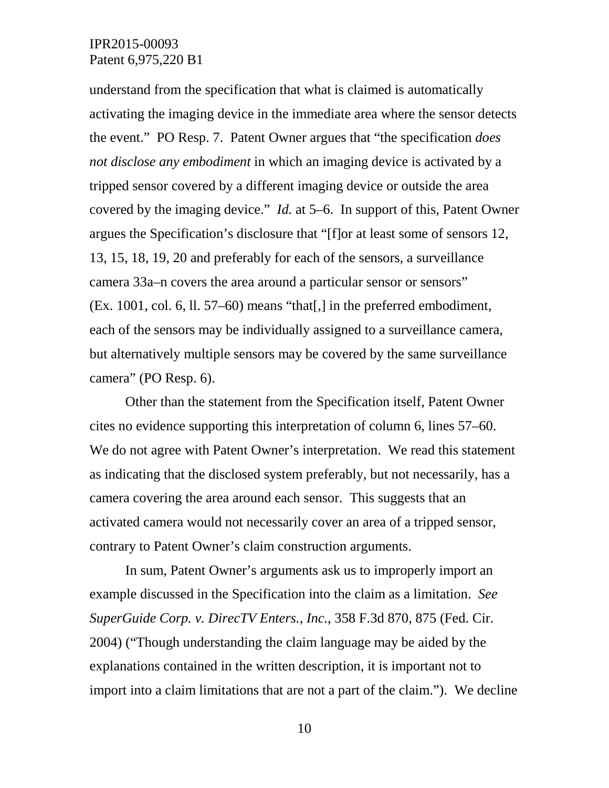understand from the specification that what is claimed is automatically activating the imaging device in the immediate area where the sensor detects the event." PO Resp. 7. Patent Owner argues that "the specification *does not disclose any embodiment* in which an imaging device is activated by a tripped sensor covered by a different imaging device or outside the area covered by the imaging device." *Id.* at 5–6. In support of this, Patent Owner argues the Specification's disclosure that "[f]or at least some of sensors 12, 13, 15, 18, 19, 20 and preferably for each of the sensors, a surveillance camera 33a–n covers the area around a particular sensor or sensors" (Ex. 1001, col. 6, ll. 57–60) means "that[,] in the preferred embodiment, each of the sensors may be individually assigned to a surveillance camera, but alternatively multiple sensors may be covered by the same surveillance camera" (PO Resp. 6).

Other than the statement from the Specification itself, Patent Owner cites no evidence supporting this interpretation of column 6, lines 57–60. We do not agree with Patent Owner's interpretation. We read this statement as indicating that the disclosed system preferably, but not necessarily, has a camera covering the area around each sensor. This suggests that an activated camera would not necessarily cover an area of a tripped sensor, contrary to Patent Owner's claim construction arguments.

In sum, Patent Owner's arguments ask us to improperly import an example discussed in the Specification into the claim as a limitation. *See SuperGuide Corp. v. DirecTV Enters., Inc.*, 358 F.3d 870, 875 (Fed. Cir. 2004) ("Though understanding the claim language may be aided by the explanations contained in the written description, it is important not to import into a claim limitations that are not a part of the claim."). We decline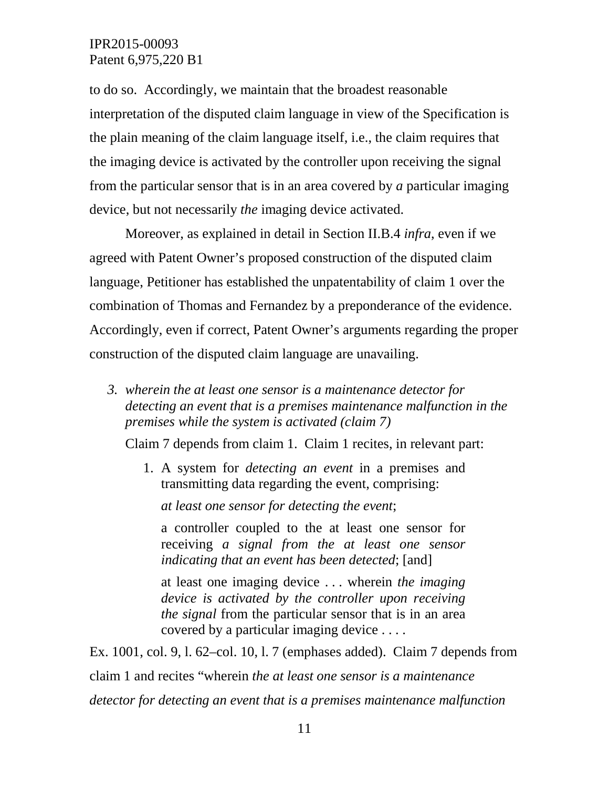to do so. Accordingly, we maintain that the broadest reasonable interpretation of the disputed claim language in view of the Specification is the plain meaning of the claim language itself, i.e., the claim requires that the imaging device is activated by the controller upon receiving the signal from the particular sensor that is in an area covered by *a* particular imaging device, but not necessarily *the* imaging device activated.

Moreover, as explained in detail in Section II.B.4 *infra*, even if we agreed with Patent Owner's proposed construction of the disputed claim language, Petitioner has established the unpatentability of claim 1 over the combination of Thomas and Fernandez by a preponderance of the evidence. Accordingly, even if correct, Patent Owner's arguments regarding the proper construction of the disputed claim language are unavailing.

*3. wherein the at least one sensor is a maintenance detector for detecting an event that is a premises maintenance malfunction in the premises while the system is activated (claim 7)*

Claim 7 depends from claim 1. Claim 1 recites, in relevant part:

1. A system for *detecting an event* in a premises and transmitting data regarding the event, comprising:

*at least one sensor for detecting the event*;

a controller coupled to the at least one sensor for receiving *a signal from the at least one sensor indicating that an event has been detected*; [and]

at least one imaging device . . . wherein *the imaging device is activated by the controller upon receiving the signal* from the particular sensor that is in an area covered by a particular imaging device . . . .

Ex. 1001, col. 9, l. 62–col. 10, l. 7 (emphases added). Claim 7 depends from claim 1 and recites "wherein *the at least one sensor is a maintenance detector for detecting an event that is a premises maintenance malfunction*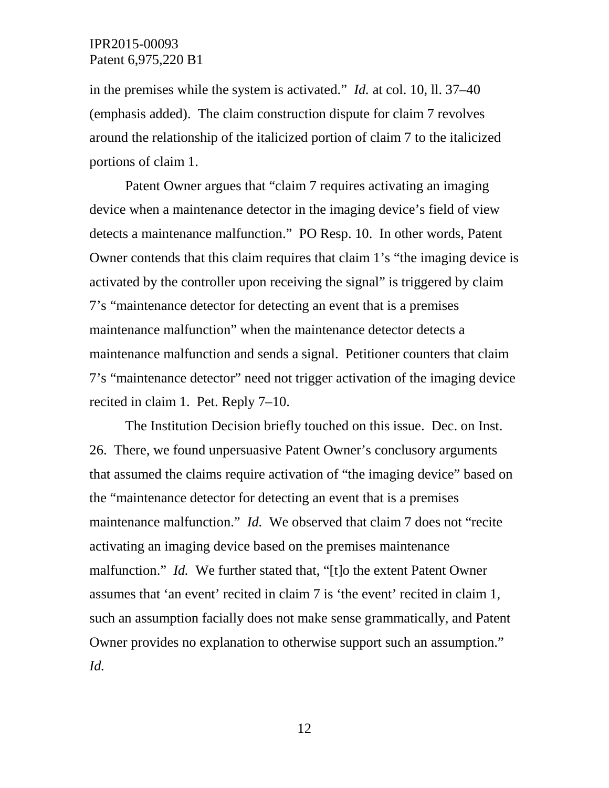in the premises while the system is activated." *Id.* at col. 10, ll. 37–40 (emphasis added). The claim construction dispute for claim 7 revolves around the relationship of the italicized portion of claim 7 to the italicized portions of claim 1.

Patent Owner argues that "claim 7 requires activating an imaging device when a maintenance detector in the imaging device's field of view detects a maintenance malfunction." PO Resp. 10. In other words, Patent Owner contends that this claim requires that claim 1's "the imaging device is activated by the controller upon receiving the signal" is triggered by claim 7's "maintenance detector for detecting an event that is a premises maintenance malfunction" when the maintenance detector detects a maintenance malfunction and sends a signal. Petitioner counters that claim 7's "maintenance detector" need not trigger activation of the imaging device recited in claim 1. Pet. Reply 7–10.

The Institution Decision briefly touched on this issue. Dec. on Inst. 26. There, we found unpersuasive Patent Owner's conclusory arguments that assumed the claims require activation of "the imaging device" based on the "maintenance detector for detecting an event that is a premises maintenance malfunction." *Id.* We observed that claim 7 does not "recite" activating an imaging device based on the premises maintenance malfunction." *Id.* We further stated that, "[t]o the extent Patent Owner assumes that 'an event' recited in claim 7 is 'the event' recited in claim 1, such an assumption facially does not make sense grammatically, and Patent Owner provides no explanation to otherwise support such an assumption." *Id.*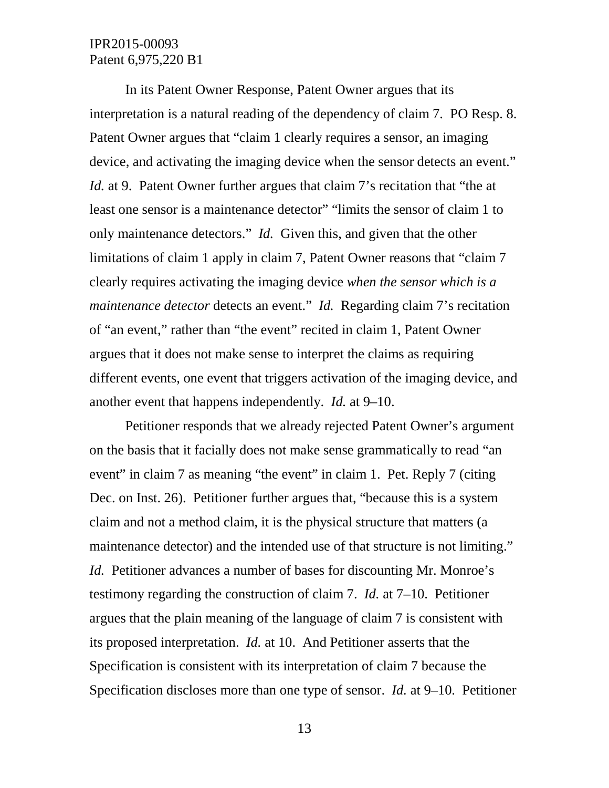In its Patent Owner Response, Patent Owner argues that its interpretation is a natural reading of the dependency of claim 7. PO Resp. 8. Patent Owner argues that "claim 1 clearly requires a sensor, an imaging device, and activating the imaging device when the sensor detects an event." *Id.* at 9. Patent Owner further argues that claim 7's recitation that "the at least one sensor is a maintenance detector" "limits the sensor of claim 1 to only maintenance detectors." *Id.* Given this, and given that the other limitations of claim 1 apply in claim 7, Patent Owner reasons that "claim 7 clearly requires activating the imaging device *when the sensor which is a maintenance detector* detects an event." *Id.* Regarding claim 7's recitation of "an event," rather than "the event" recited in claim 1, Patent Owner argues that it does not make sense to interpret the claims as requiring different events, one event that triggers activation of the imaging device, and another event that happens independently. *Id.* at 9–10.

Petitioner responds that we already rejected Patent Owner's argument on the basis that it facially does not make sense grammatically to read "an event" in claim 7 as meaning "the event" in claim 1. Pet. Reply 7 (citing Dec. on Inst. 26). Petitioner further argues that, "because this is a system claim and not a method claim, it is the physical structure that matters (a maintenance detector) and the intended use of that structure is not limiting." *Id.* Petitioner advances a number of bases for discounting Mr. Monroe's testimony regarding the construction of claim 7. *Id.* at 7–10. Petitioner argues that the plain meaning of the language of claim 7 is consistent with its proposed interpretation. *Id.* at 10. And Petitioner asserts that the Specification is consistent with its interpretation of claim 7 because the Specification discloses more than one type of sensor. *Id.* at 9–10. Petitioner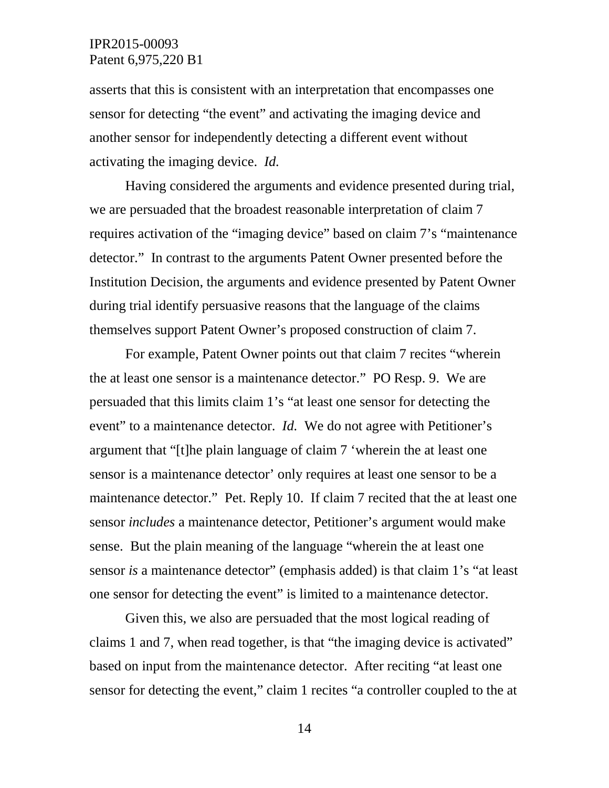asserts that this is consistent with an interpretation that encompasses one sensor for detecting "the event" and activating the imaging device and another sensor for independently detecting a different event without activating the imaging device. *Id.*

Having considered the arguments and evidence presented during trial, we are persuaded that the broadest reasonable interpretation of claim 7 requires activation of the "imaging device" based on claim 7's "maintenance detector." In contrast to the arguments Patent Owner presented before the Institution Decision, the arguments and evidence presented by Patent Owner during trial identify persuasive reasons that the language of the claims themselves support Patent Owner's proposed construction of claim 7.

For example, Patent Owner points out that claim 7 recites "wherein the at least one sensor is a maintenance detector." PO Resp. 9. We are persuaded that this limits claim 1's "at least one sensor for detecting the event" to a maintenance detector. *Id.* We do not agree with Petitioner's argument that "[t]he plain language of claim 7 'wherein the at least one sensor is a maintenance detector' only requires at least one sensor to be a maintenance detector." Pet. Reply 10. If claim 7 recited that the at least one sensor *includes* a maintenance detector, Petitioner's argument would make sense. But the plain meaning of the language "wherein the at least one sensor *is* a maintenance detector" (emphasis added) is that claim 1's "at least one sensor for detecting the event" is limited to a maintenance detector.

Given this, we also are persuaded that the most logical reading of claims 1 and 7, when read together, is that "the imaging device is activated" based on input from the maintenance detector. After reciting "at least one sensor for detecting the event," claim 1 recites "a controller coupled to the at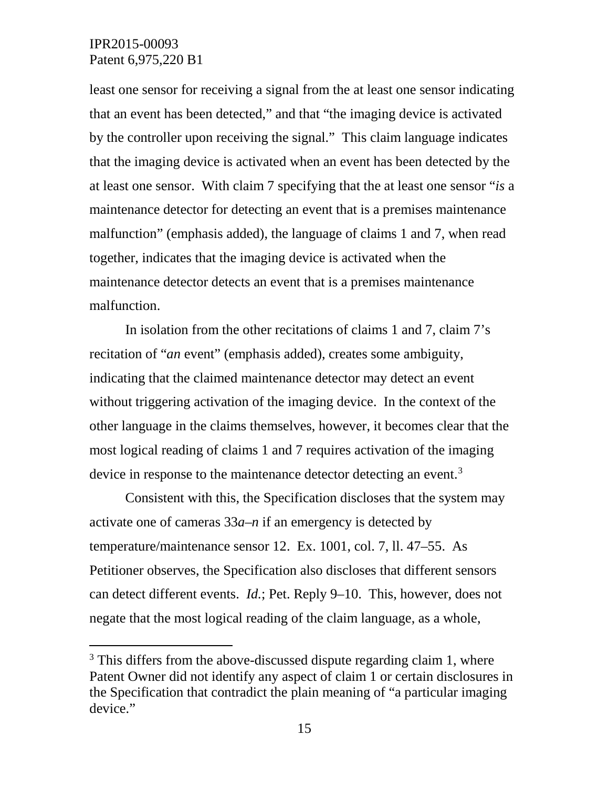least one sensor for receiving a signal from the at least one sensor indicating that an event has been detected," and that "the imaging device is activated by the controller upon receiving the signal." This claim language indicates that the imaging device is activated when an event has been detected by the at least one sensor. With claim 7 specifying that the at least one sensor "*is* a maintenance detector for detecting an event that is a premises maintenance malfunction" (emphasis added), the language of claims 1 and 7, when read together, indicates that the imaging device is activated when the maintenance detector detects an event that is a premises maintenance malfunction.

In isolation from the other recitations of claims 1 and 7, claim 7's recitation of "*an* event" (emphasis added), creates some ambiguity, indicating that the claimed maintenance detector may detect an event without triggering activation of the imaging device. In the context of the other language in the claims themselves, however, it becomes clear that the most logical reading of claims 1 and 7 requires activation of the imaging device in response to the maintenance detector detecting an event.<sup>[3](#page-14-0)</sup>

Consistent with this, the Specification discloses that the system may activate one of cameras 33*a–n* if an emergency is detected by temperature/maintenance sensor 12. Ex. 1001, col. 7, ll. 47–55. As Petitioner observes, the Specification also discloses that different sensors can detect different events. *Id.*; Pet. Reply 9–10. This, however, does not negate that the most logical reading of the claim language, as a whole,

<span id="page-14-0"></span><sup>&</sup>lt;sup>3</sup> This differs from the above-discussed dispute regarding claim 1, where Patent Owner did not identify any aspect of claim 1 or certain disclosures in the Specification that contradict the plain meaning of "a particular imaging device."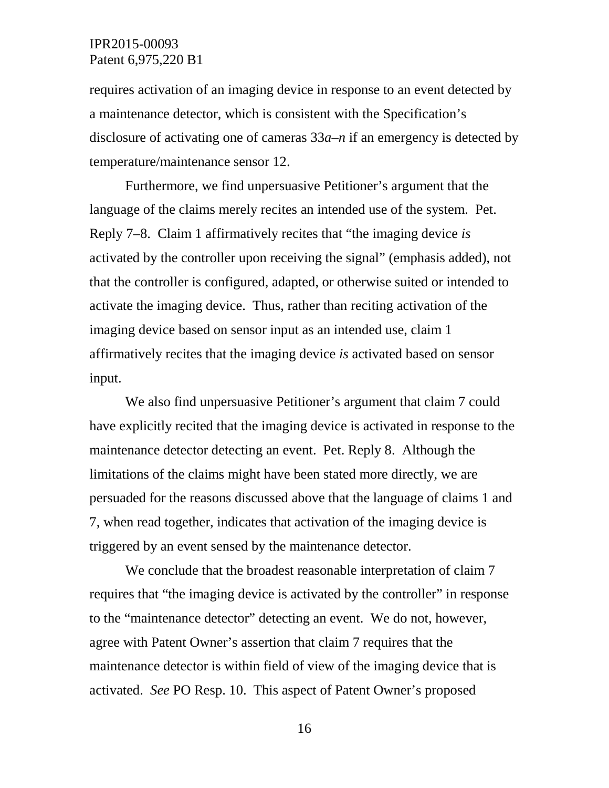requires activation of an imaging device in response to an event detected by a maintenance detector, which is consistent with the Specification's disclosure of activating one of cameras 33*a–n* if an emergency is detected by temperature/maintenance sensor 12.

Furthermore, we find unpersuasive Petitioner's argument that the language of the claims merely recites an intended use of the system. Pet. Reply 7–8. Claim 1 affirmatively recites that "the imaging device *is* activated by the controller upon receiving the signal" (emphasis added), not that the controller is configured, adapted, or otherwise suited or intended to activate the imaging device. Thus, rather than reciting activation of the imaging device based on sensor input as an intended use, claim 1 affirmatively recites that the imaging device *is* activated based on sensor input.

We also find unpersuasive Petitioner's argument that claim 7 could have explicitly recited that the imaging device is activated in response to the maintenance detector detecting an event. Pet. Reply 8. Although the limitations of the claims might have been stated more directly, we are persuaded for the reasons discussed above that the language of claims 1 and 7, when read together, indicates that activation of the imaging device is triggered by an event sensed by the maintenance detector.

We conclude that the broadest reasonable interpretation of claim 7 requires that "the imaging device is activated by the controller" in response to the "maintenance detector" detecting an event. We do not, however, agree with Patent Owner's assertion that claim 7 requires that the maintenance detector is within field of view of the imaging device that is activated. *See* PO Resp. 10. This aspect of Patent Owner's proposed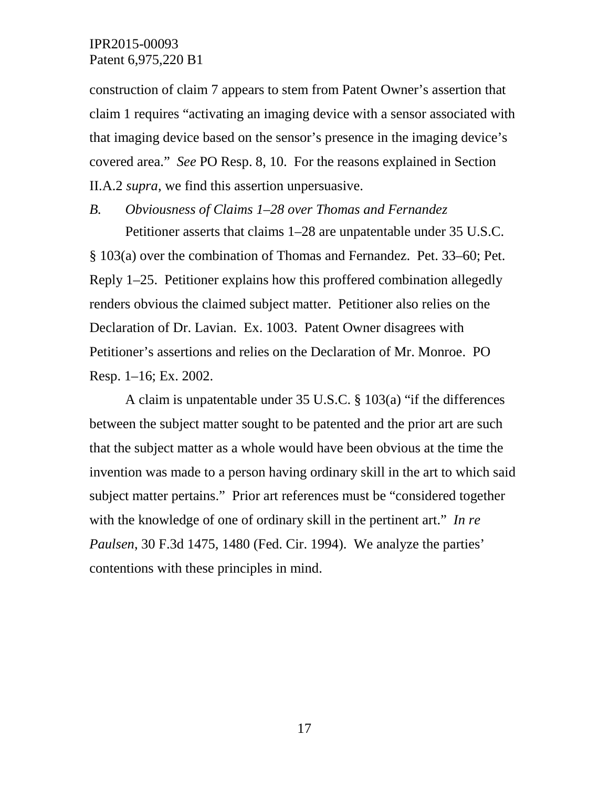construction of claim 7 appears to stem from Patent Owner's assertion that claim 1 requires "activating an imaging device with a sensor associated with that imaging device based on the sensor's presence in the imaging device's covered area." *See* PO Resp. 8, 10. For the reasons explained in Section II.A.2 *supra*, we find this assertion unpersuasive.

# *B. Obviousness of Claims 1–28 over Thomas and Fernandez*

Petitioner asserts that claims 1–28 are unpatentable under 35 U.S.C. § 103(a) over the combination of Thomas and Fernandez. Pet. 33–60; Pet. Reply 1–25. Petitioner explains how this proffered combination allegedly renders obvious the claimed subject matter. Petitioner also relies on the Declaration of Dr. Lavian. Ex. 1003. Patent Owner disagrees with Petitioner's assertions and relies on the Declaration of Mr. Monroe. PO Resp. 1–16; Ex. 2002.

A claim is unpatentable under 35 U.S.C. § 103(a) "if the differences between the subject matter sought to be patented and the prior art are such that the subject matter as a whole would have been obvious at the time the invention was made to a person having ordinary skill in the art to which said subject matter pertains." Prior art references must be "considered together with the knowledge of one of ordinary skill in the pertinent art." *In re Paulsen*, 30 F.3d 1475, 1480 (Fed. Cir. 1994). We analyze the parties' contentions with these principles in mind.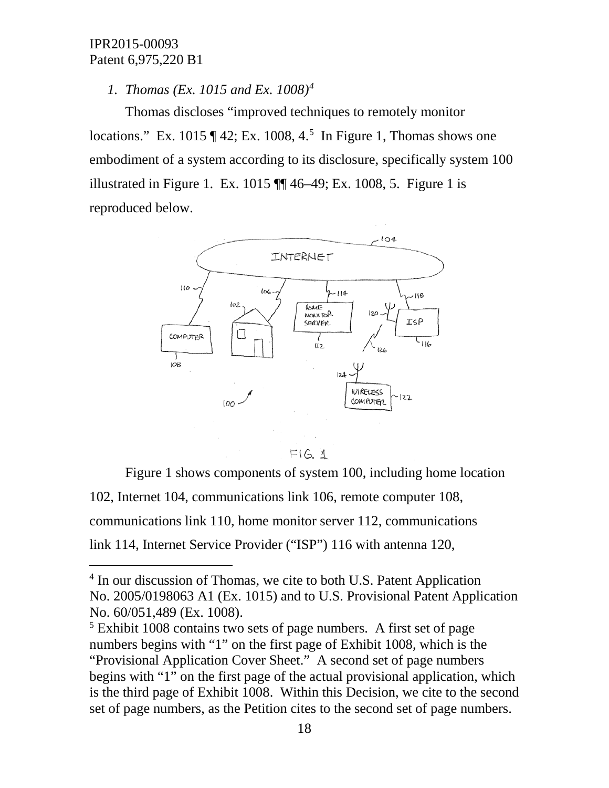## *1. Thomas (Ex. 1015 and Ex. 1008)[4](#page-17-0)*

Thomas discloses "improved techniques to remotely monitor locations." Ex. 101[5](#page-17-1)  $\P$  42; Ex. 1008, 4.<sup>5</sup> In Figure 1, Thomas shows one embodiment of a system according to its disclosure, specifically system 100 illustrated in Figure 1. Ex. 1015 ¶¶ 46–49; Ex. 1008, 5. Figure 1 is reproduced below.



 $F(G, 1)$ 

Figure 1 shows components of system 100, including home location 102, Internet 104, communications link 106, remote computer 108, communications link 110, home monitor server 112, communications link 114, Internet Service Provider ("ISP") 116 with antenna 120,

<span id="page-17-0"></span><sup>&</sup>lt;sup>4</sup> In our discussion of Thomas, we cite to both U.S. Patent Application No. 2005/0198063 A1 (Ex. 1015) and to U.S. Provisional Patent Application No. 60/051,489 (Ex. 1008).

<span id="page-17-1"></span><sup>5</sup> Exhibit 1008 contains two sets of page numbers. A first set of page numbers begins with "1" on the first page of Exhibit 1008, which is the "Provisional Application Cover Sheet." A second set of page numbers begins with "1" on the first page of the actual provisional application, which is the third page of Exhibit 1008. Within this Decision, we cite to the second set of page numbers, as the Petition cites to the second set of page numbers.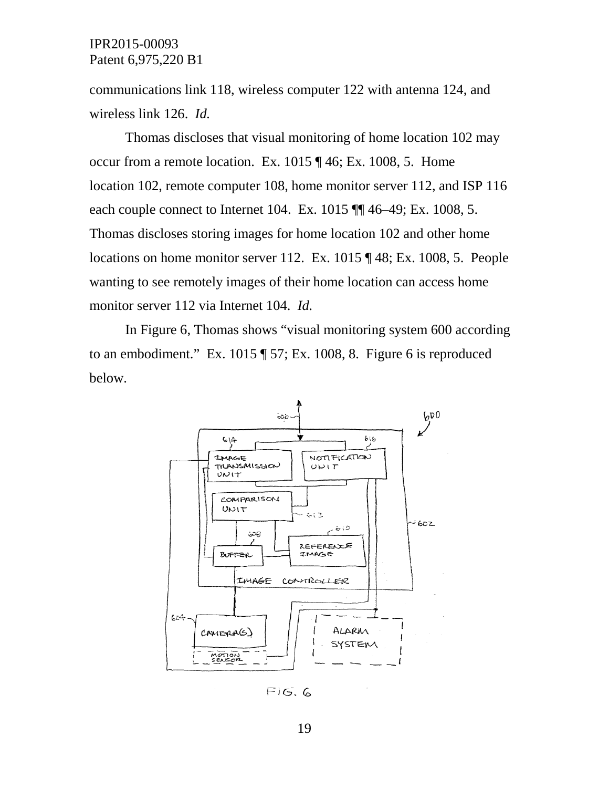communications link 118, wireless computer 122 with antenna 124, and wireless link 126. *Id.*

Thomas discloses that visual monitoring of home location 102 may occur from a remote location. Ex. 1015 ¶ 46; Ex. 1008, 5. Home location 102, remote computer 108, home monitor server 112, and ISP 116 each couple connect to Internet 104. Ex. 1015  $\P$  46–49; Ex. 1008, 5. Thomas discloses storing images for home location 102 and other home locations on home monitor server 112. Ex. 1015 ¶ 48; Ex. 1008, 5. People wanting to see remotely images of their home location can access home monitor server 112 via Internet 104. *Id.*

In Figure 6, Thomas shows "visual monitoring system 600 according to an embodiment." Ex. 1015 ¶ 57; Ex. 1008, 8. Figure 6 is reproduced below.



 $FIG.G$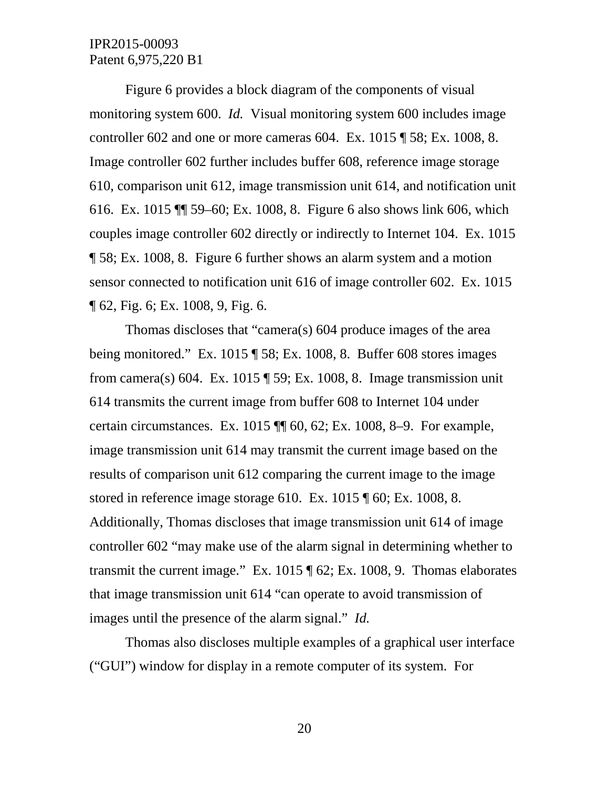Figure 6 provides a block diagram of the components of visual monitoring system 600. *Id.* Visual monitoring system 600 includes image controller 602 and one or more cameras 604. Ex. 1015 ¶ 58; Ex. 1008, 8. Image controller 602 further includes buffer 608, reference image storage 610, comparison unit 612, image transmission unit 614, and notification unit 616. Ex. 1015 ¶¶ 59–60; Ex. 1008, 8. Figure 6 also shows link 606, which couples image controller 602 directly or indirectly to Internet 104. Ex. 1015 ¶ 58; Ex. 1008, 8. Figure 6 further shows an alarm system and a motion sensor connected to notification unit 616 of image controller 602. Ex. 1015 ¶ 62, Fig. 6; Ex. 1008, 9, Fig. 6.

Thomas discloses that "camera(s) 604 produce images of the area being monitored." Ex. 1015 ¶ 58; Ex. 1008, 8. Buffer 608 stores images from camera(s) 604. Ex. 1015  $\P$  59; Ex. 1008, 8. Image transmission unit 614 transmits the current image from buffer 608 to Internet 104 under certain circumstances. Ex. 1015 ¶¶ 60, 62; Ex. 1008, 8–9. For example, image transmission unit 614 may transmit the current image based on the results of comparison unit 612 comparing the current image to the image stored in reference image storage 610. Ex. 1015 ¶ 60; Ex. 1008, 8. Additionally, Thomas discloses that image transmission unit 614 of image controller 602 "may make use of the alarm signal in determining whether to transmit the current image." Ex. 1015 ¶ 62; Ex. 1008, 9. Thomas elaborates that image transmission unit 614 "can operate to avoid transmission of images until the presence of the alarm signal." *Id.*

Thomas also discloses multiple examples of a graphical user interface ("GUI") window for display in a remote computer of its system. For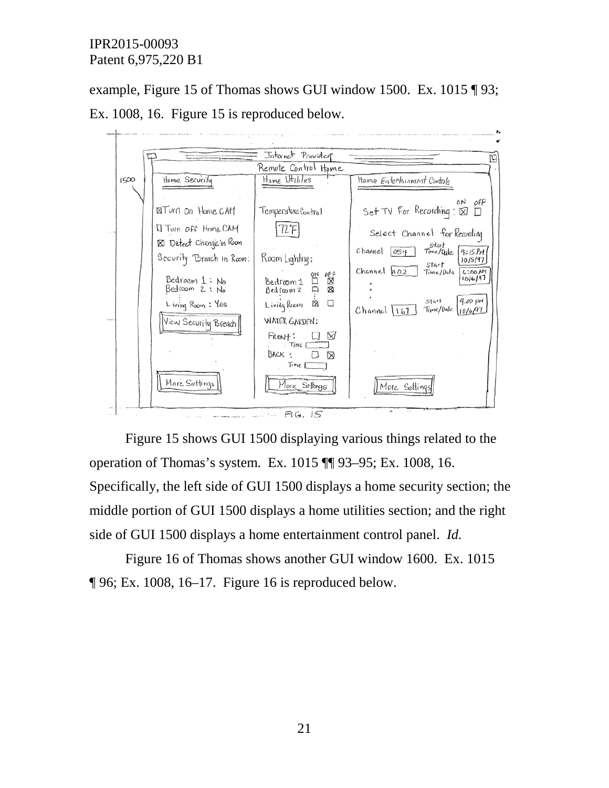example, Figure 15 of Thomas shows GUI window 1500. Ex. 1015 ¶ 93;





Figure 15 shows GUI 1500 displaying various things related to the operation of Thomas's system. Ex. 1015 ¶¶ 93–95; Ex. 1008, 16. Specifically, the left side of GUI 1500 displays a home security section; the middle portion of GUI 1500 displays a home utilities section; and the right side of GUI 1500 displays a home entertainment control panel. *Id.*

Figure 16 of Thomas shows another GUI window 1600. Ex. 1015 ¶ 96; Ex. 1008, 16–17. Figure 16 is reproduced below.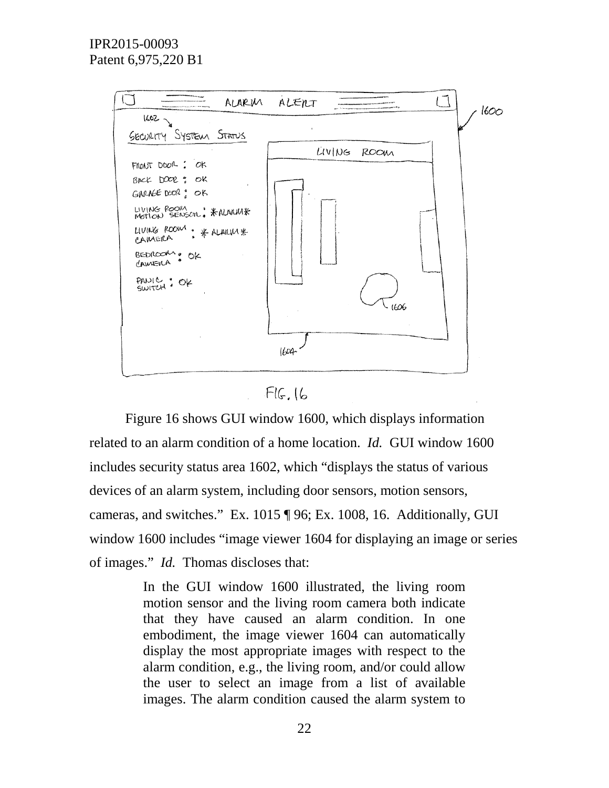

 $FIG.$   $16$ 

Figure 16 shows GUI window 1600, which displays information related to an alarm condition of a home location. *Id.* GUI window 1600 includes security status area 1602, which "displays the status of various devices of an alarm system, including door sensors, motion sensors, cameras, and switches." Ex. 1015 ¶ 96; Ex. 1008, 16. Additionally, GUI window 1600 includes "image viewer 1604 for displaying an image or series of images." *Id.* Thomas discloses that:

> In the GUI window 1600 illustrated, the living room motion sensor and the living room camera both indicate that they have caused an alarm condition. In one embodiment, the image viewer 1604 can automatically display the most appropriate images with respect to the alarm condition, e.g., the living room, and/or could allow the user to select an image from a list of available images. The alarm condition caused the alarm system to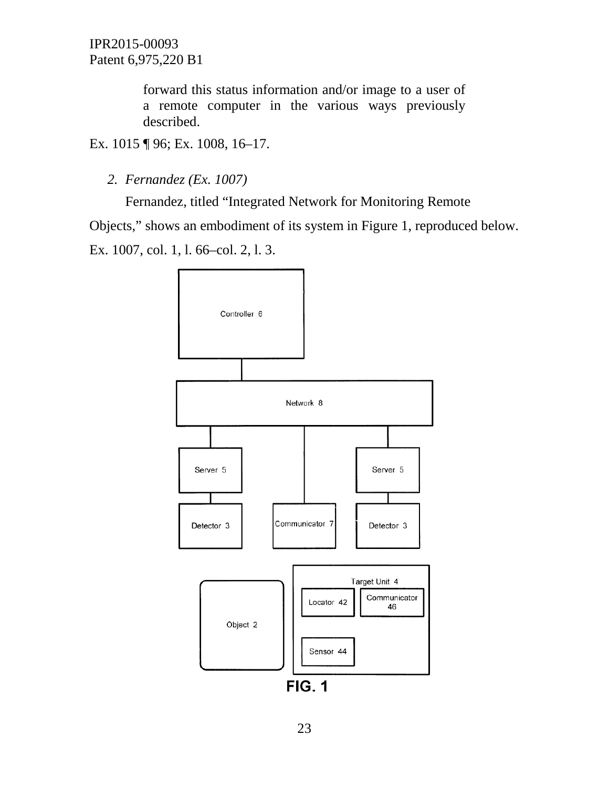> forward this status information and/or image to a user of a remote computer in the various ways previously described.

Ex. 1015 ¶ 96; Ex. 1008, 16–17.

*2. Fernandez (Ex. 1007)*

Fernandez, titled "Integrated Network for Monitoring Remote Objects," shows an embodiment of its system in Figure 1, reproduced below. Ex. 1007, col. 1, l. 66–col. 2, l. 3.

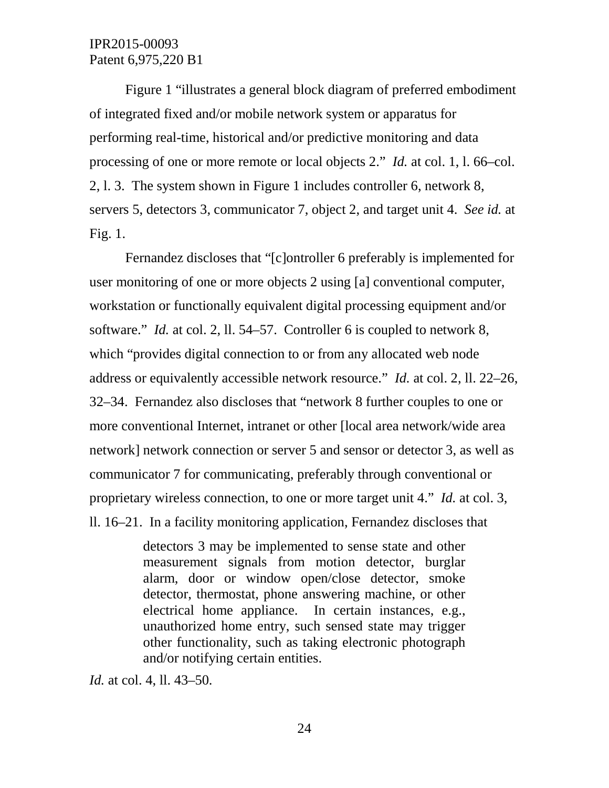Figure 1 "illustrates a general block diagram of preferred embodiment of integrated fixed and/or mobile network system or apparatus for performing real-time, historical and/or predictive monitoring and data processing of one or more remote or local objects 2." *Id.* at col. 1, l. 66–col. 2, l. 3. The system shown in Figure 1 includes controller 6, network 8, servers 5, detectors 3, communicator 7, object 2, and target unit 4. *See id.* at Fig. 1.

Fernandez discloses that "[c]ontroller 6 preferably is implemented for user monitoring of one or more objects 2 using [a] conventional computer, workstation or functionally equivalent digital processing equipment and/or software." *Id.* at col. 2, ll. 54–57. Controller 6 is coupled to network 8, which "provides digital connection to or from any allocated web node address or equivalently accessible network resource." *Id.* at col. 2, ll. 22–26, 32–34. Fernandez also discloses that "network 8 further couples to one or more conventional Internet, intranet or other [local area network/wide area network] network connection or server 5 and sensor or detector 3, as well as communicator 7 for communicating, preferably through conventional or proprietary wireless connection, to one or more target unit 4." *Id.* at col. 3, ll. 16–21. In a facility monitoring application, Fernandez discloses that

> detectors 3 may be implemented to sense state and other measurement signals from motion detector, burglar alarm, door or window open/close detector, smoke detector, thermostat, phone answering machine, or other electrical home appliance. In certain instances, e.g., unauthorized home entry, such sensed state may trigger other functionality, such as taking electronic photograph and/or notifying certain entities.

*Id.* at col. 4, ll. 43–50.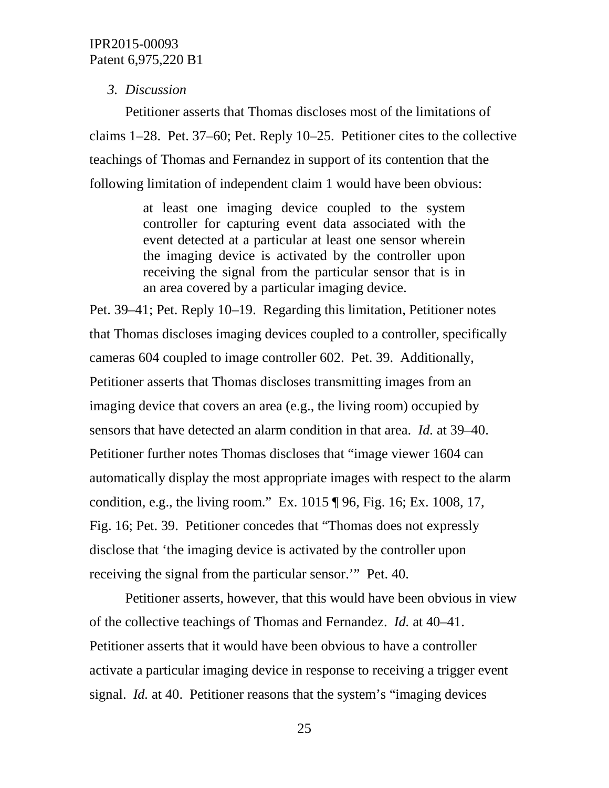### *3. Discussion*

Petitioner asserts that Thomas discloses most of the limitations of claims 1–28. Pet. 37–60; Pet. Reply 10–25. Petitioner cites to the collective teachings of Thomas and Fernandez in support of its contention that the following limitation of independent claim 1 would have been obvious:

> at least one imaging device coupled to the system controller for capturing event data associated with the event detected at a particular at least one sensor wherein the imaging device is activated by the controller upon receiving the signal from the particular sensor that is in an area covered by a particular imaging device.

Pet. 39–41; Pet. Reply 10–19. Regarding this limitation, Petitioner notes that Thomas discloses imaging devices coupled to a controller, specifically cameras 604 coupled to image controller 602. Pet. 39. Additionally, Petitioner asserts that Thomas discloses transmitting images from an imaging device that covers an area (e.g., the living room) occupied by sensors that have detected an alarm condition in that area. *Id.* at 39–40. Petitioner further notes Thomas discloses that "image viewer 1604 can automatically display the most appropriate images with respect to the alarm condition, e.g., the living room." Ex. 1015 ¶ 96, Fig. 16; Ex. 1008, 17, Fig. 16; Pet. 39. Petitioner concedes that "Thomas does not expressly disclose that 'the imaging device is activated by the controller upon receiving the signal from the particular sensor.'" Pet. 40.

Petitioner asserts, however, that this would have been obvious in view of the collective teachings of Thomas and Fernandez. *Id.* at 40–41. Petitioner asserts that it would have been obvious to have a controller activate a particular imaging device in response to receiving a trigger event signal. *Id.* at 40. Petitioner reasons that the system's "imaging devices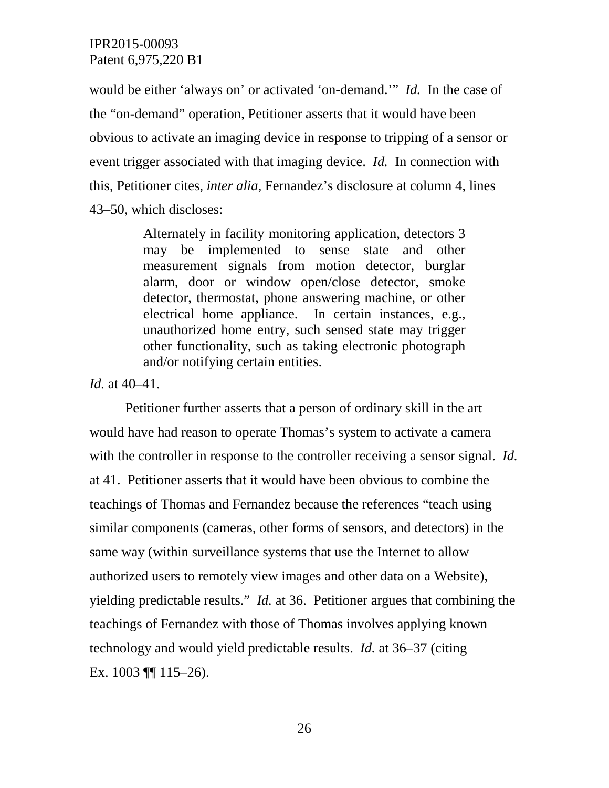would be either 'always on' or activated 'on-demand.'" *Id.* In the case of the "on-demand" operation, Petitioner asserts that it would have been obvious to activate an imaging device in response to tripping of a sensor or event trigger associated with that imaging device. *Id.* In connection with this, Petitioner cites, *inter alia*, Fernandez's disclosure at column 4, lines 43–50, which discloses:

> Alternately in facility monitoring application, detectors 3 may be implemented to sense state and other measurement signals from motion detector, burglar alarm, door or window open/close detector, smoke detector, thermostat, phone answering machine, or other electrical home appliance. In certain instances, e.g., unauthorized home entry, such sensed state may trigger other functionality, such as taking electronic photograph and/or notifying certain entities.

*Id.* at 40–41.

Petitioner further asserts that a person of ordinary skill in the art would have had reason to operate Thomas's system to activate a camera with the controller in response to the controller receiving a sensor signal. *Id.* at 41. Petitioner asserts that it would have been obvious to combine the teachings of Thomas and Fernandez because the references "teach using similar components (cameras, other forms of sensors, and detectors) in the same way (within surveillance systems that use the Internet to allow authorized users to remotely view images and other data on a Website), yielding predictable results." *Id.* at 36. Petitioner argues that combining the teachings of Fernandez with those of Thomas involves applying known technology and would yield predictable results. *Id.* at 36–37 (citing Ex.  $1003$  ||  $115-26$ ).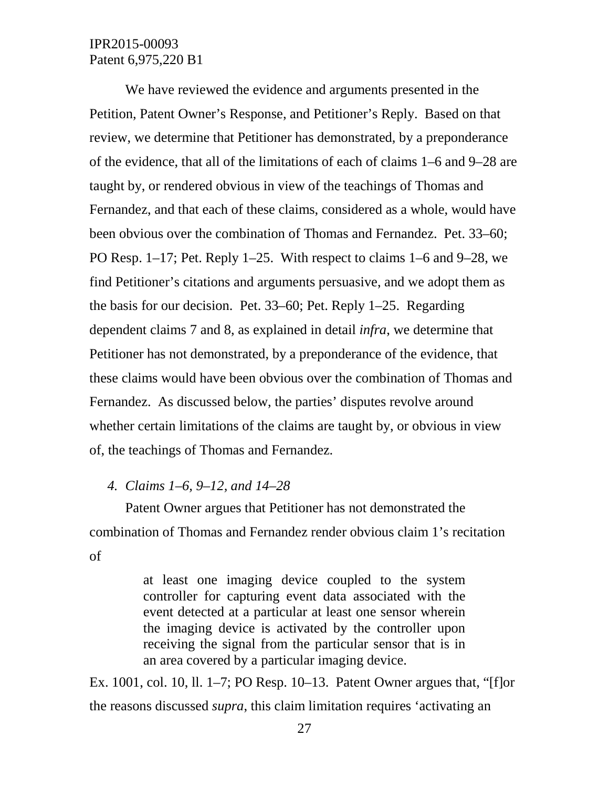We have reviewed the evidence and arguments presented in the Petition, Patent Owner's Response, and Petitioner's Reply. Based on that review, we determine that Petitioner has demonstrated, by a preponderance of the evidence, that all of the limitations of each of claims 1–6 and 9–28 are taught by, or rendered obvious in view of the teachings of Thomas and Fernandez, and that each of these claims, considered as a whole, would have been obvious over the combination of Thomas and Fernandez. Pet. 33–60; PO Resp. 1–17; Pet. Reply 1–25. With respect to claims 1–6 and 9–28, we find Petitioner's citations and arguments persuasive, and we adopt them as the basis for our decision. Pet. 33–60; Pet. Reply 1–25. Regarding dependent claims 7 and 8, as explained in detail *infra*, we determine that Petitioner has not demonstrated, by a preponderance of the evidence, that these claims would have been obvious over the combination of Thomas and Fernandez. As discussed below, the parties' disputes revolve around whether certain limitations of the claims are taught by, or obvious in view of, the teachings of Thomas and Fernandez.

#### *4. Claims 1–6, 9–12, and 14–28*

Patent Owner argues that Petitioner has not demonstrated the combination of Thomas and Fernandez render obvious claim 1's recitation of

> at least one imaging device coupled to the system controller for capturing event data associated with the event detected at a particular at least one sensor wherein the imaging device is activated by the controller upon receiving the signal from the particular sensor that is in an area covered by a particular imaging device.

Ex. 1001, col. 10, ll. 1–7; PO Resp. 10–13. Patent Owner argues that, "[f]or the reasons discussed *supra*, this claim limitation requires 'activating an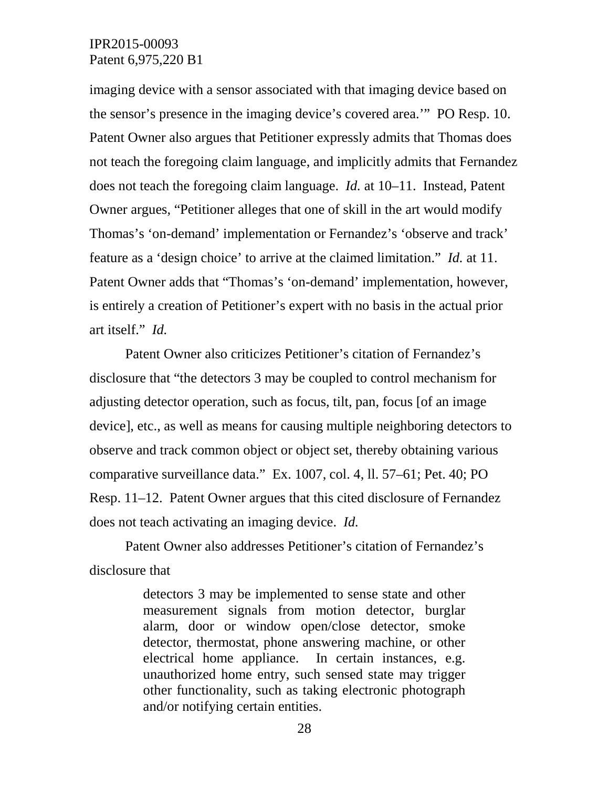imaging device with a sensor associated with that imaging device based on the sensor's presence in the imaging device's covered area.'" PO Resp. 10. Patent Owner also argues that Petitioner expressly admits that Thomas does not teach the foregoing claim language, and implicitly admits that Fernandez does not teach the foregoing claim language. *Id.* at 10–11. Instead, Patent Owner argues, "Petitioner alleges that one of skill in the art would modify Thomas's 'on-demand' implementation or Fernandez's 'observe and track' feature as a 'design choice' to arrive at the claimed limitation." *Id.* at 11. Patent Owner adds that "Thomas's 'on-demand' implementation, however, is entirely a creation of Petitioner's expert with no basis in the actual prior art itself." *Id.*

Patent Owner also criticizes Petitioner's citation of Fernandez's disclosure that "the detectors 3 may be coupled to control mechanism for adjusting detector operation, such as focus, tilt, pan, focus [of an image device], etc., as well as means for causing multiple neighboring detectors to observe and track common object or object set, thereby obtaining various comparative surveillance data." Ex. 1007, col. 4, ll. 57–61; Pet. 40; PO Resp. 11–12. Patent Owner argues that this cited disclosure of Fernandez does not teach activating an imaging device. *Id.*

Patent Owner also addresses Petitioner's citation of Fernandez's disclosure that

> detectors 3 may be implemented to sense state and other measurement signals from motion detector, burglar alarm, door or window open/close detector, smoke detector, thermostat, phone answering machine, or other electrical home appliance. In certain instances, e.g. unauthorized home entry, such sensed state may trigger other functionality, such as taking electronic photograph and/or notifying certain entities.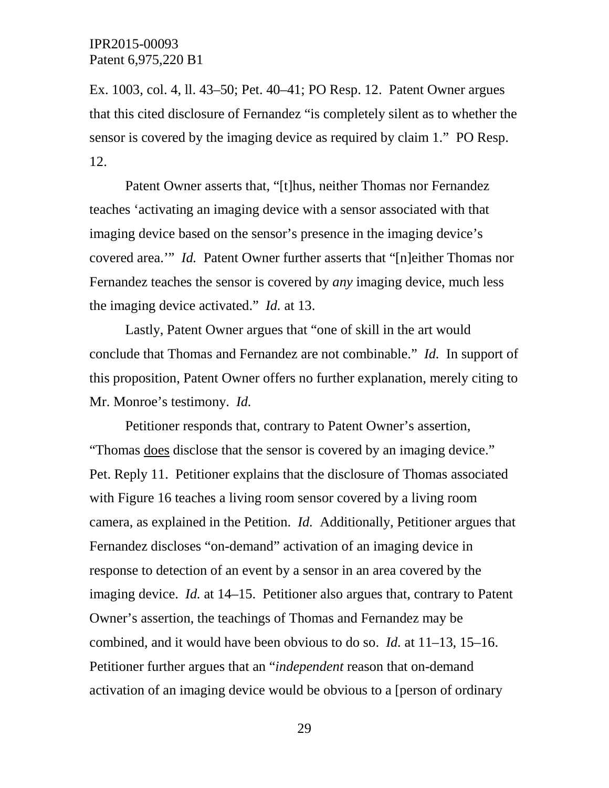Ex. 1003, col. 4, ll. 43–50; Pet. 40–41; PO Resp. 12. Patent Owner argues that this cited disclosure of Fernandez "is completely silent as to whether the sensor is covered by the imaging device as required by claim 1." PO Resp. 12.

Patent Owner asserts that, "[t]hus, neither Thomas nor Fernandez teaches 'activating an imaging device with a sensor associated with that imaging device based on the sensor's presence in the imaging device's covered area.'" *Id.* Patent Owner further asserts that "[n]either Thomas nor Fernandez teaches the sensor is covered by *any* imaging device, much less the imaging device activated." *Id.* at 13.

Lastly, Patent Owner argues that "one of skill in the art would conclude that Thomas and Fernandez are not combinable." *Id.* In support of this proposition, Patent Owner offers no further explanation, merely citing to Mr. Monroe's testimony. *Id.*

Petitioner responds that, contrary to Patent Owner's assertion, "Thomas does disclose that the sensor is covered by an imaging device." Pet. Reply 11. Petitioner explains that the disclosure of Thomas associated with Figure 16 teaches a living room sensor covered by a living room camera, as explained in the Petition. *Id.* Additionally, Petitioner argues that Fernandez discloses "on-demand" activation of an imaging device in response to detection of an event by a sensor in an area covered by the imaging device. *Id.* at 14–15. Petitioner also argues that, contrary to Patent Owner's assertion, the teachings of Thomas and Fernandez may be combined, and it would have been obvious to do so. *Id.* at 11–13, 15–16. Petitioner further argues that an "*independent* reason that on-demand activation of an imaging device would be obvious to a [person of ordinary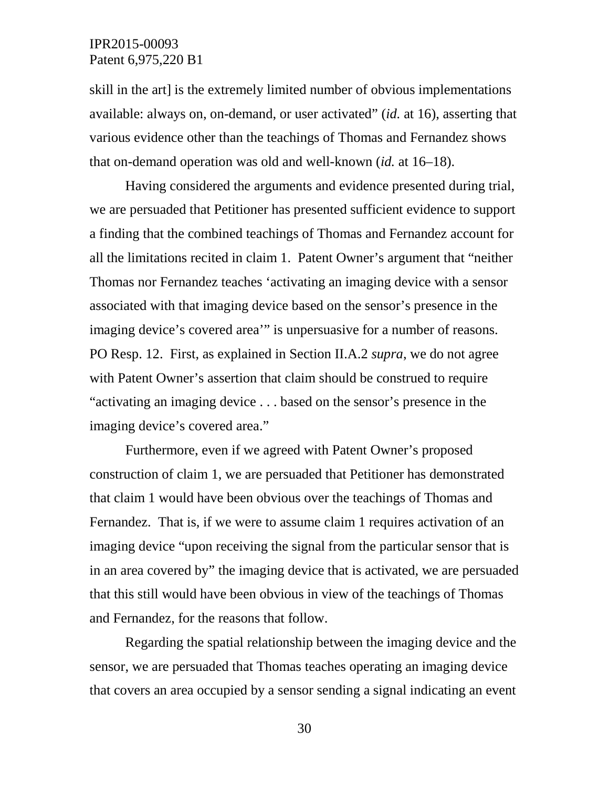skill in the art] is the extremely limited number of obvious implementations available: always on, on-demand, or user activated" (*id.* at 16), asserting that various evidence other than the teachings of Thomas and Fernandez shows that on-demand operation was old and well-known (*id.* at 16–18).

Having considered the arguments and evidence presented during trial, we are persuaded that Petitioner has presented sufficient evidence to support a finding that the combined teachings of Thomas and Fernandez account for all the limitations recited in claim 1. Patent Owner's argument that "neither Thomas nor Fernandez teaches 'activating an imaging device with a sensor associated with that imaging device based on the sensor's presence in the imaging device's covered area'" is unpersuasive for a number of reasons. PO Resp. 12. First, as explained in Section II.A.2 *supra*, we do not agree with Patent Owner's assertion that claim should be construed to require "activating an imaging device . . . based on the sensor's presence in the imaging device's covered area."

Furthermore, even if we agreed with Patent Owner's proposed construction of claim 1, we are persuaded that Petitioner has demonstrated that claim 1 would have been obvious over the teachings of Thomas and Fernandez. That is, if we were to assume claim 1 requires activation of an imaging device "upon receiving the signal from the particular sensor that is in an area covered by" the imaging device that is activated, we are persuaded that this still would have been obvious in view of the teachings of Thomas and Fernandez, for the reasons that follow.

Regarding the spatial relationship between the imaging device and the sensor, we are persuaded that Thomas teaches operating an imaging device that covers an area occupied by a sensor sending a signal indicating an event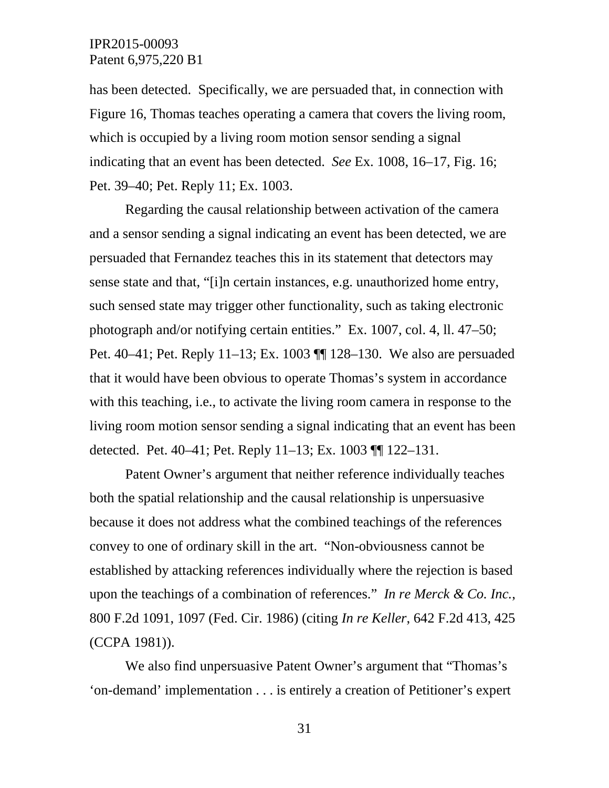has been detected. Specifically, we are persuaded that, in connection with Figure 16, Thomas teaches operating a camera that covers the living room, which is occupied by a living room motion sensor sending a signal indicating that an event has been detected. *See* Ex. 1008, 16–17, Fig. 16; Pet. 39–40; Pet. Reply 11; Ex. 1003.

Regarding the causal relationship between activation of the camera and a sensor sending a signal indicating an event has been detected, we are persuaded that Fernandez teaches this in its statement that detectors may sense state and that, "[i]n certain instances, e.g. unauthorized home entry, such sensed state may trigger other functionality, such as taking electronic photograph and/or notifying certain entities." Ex. 1007, col. 4, ll. 47–50; Pet. 40–41; Pet. Reply 11–13; Ex. 1003 ¶¶ 128–130. We also are persuaded that it would have been obvious to operate Thomas's system in accordance with this teaching, i.e., to activate the living room camera in response to the living room motion sensor sending a signal indicating that an event has been detected. Pet. 40–41; Pet. Reply 11–13; Ex. 1003 ¶¶ 122–131.

Patent Owner's argument that neither reference individually teaches both the spatial relationship and the causal relationship is unpersuasive because it does not address what the combined teachings of the references convey to one of ordinary skill in the art. "Non-obviousness cannot be established by attacking references individually where the rejection is based upon the teachings of a combination of references." *In re Merck & Co. Inc.*, 800 F.2d 1091, 1097 (Fed. Cir. 1986) (citing *In re Keller*, 642 F.2d 413, 425 (CCPA 1981)).

We also find unpersuasive Patent Owner's argument that "Thomas's 'on-demand' implementation . . . is entirely a creation of Petitioner's expert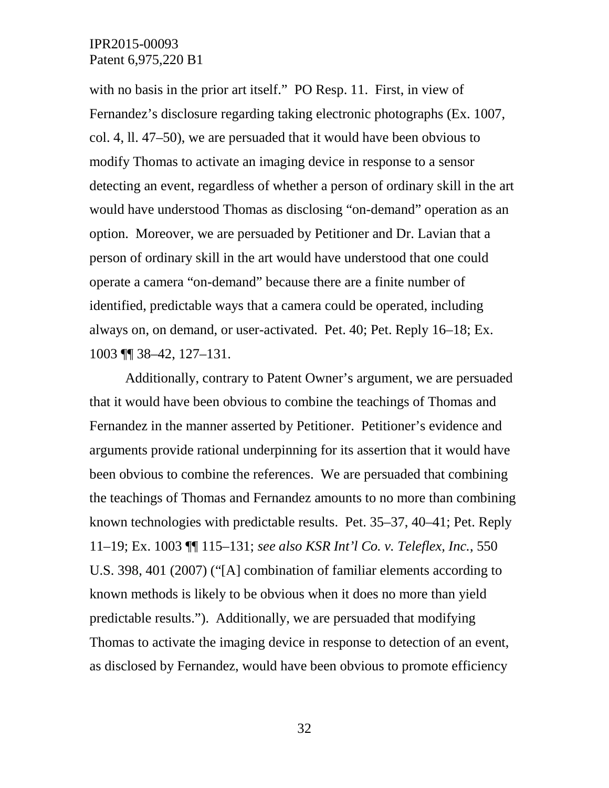with no basis in the prior art itself." PO Resp. 11. First, in view of Fernandez's disclosure regarding taking electronic photographs (Ex. 1007, col. 4, ll. 47–50), we are persuaded that it would have been obvious to modify Thomas to activate an imaging device in response to a sensor detecting an event, regardless of whether a person of ordinary skill in the art would have understood Thomas as disclosing "on-demand" operation as an option. Moreover, we are persuaded by Petitioner and Dr. Lavian that a person of ordinary skill in the art would have understood that one could operate a camera "on-demand" because there are a finite number of identified, predictable ways that a camera could be operated, including always on, on demand, or user-activated. Pet. 40; Pet. Reply 16–18; Ex. 1003 ¶¶ 38–42, 127–131.

Additionally, contrary to Patent Owner's argument, we are persuaded that it would have been obvious to combine the teachings of Thomas and Fernandez in the manner asserted by Petitioner. Petitioner's evidence and arguments provide rational underpinning for its assertion that it would have been obvious to combine the references. We are persuaded that combining the teachings of Thomas and Fernandez amounts to no more than combining known technologies with predictable results. Pet. 35–37, 40–41; Pet. Reply 11–19; Ex. 1003 ¶¶ 115–131; *see also KSR Int'l Co. v. Teleflex, Inc.*, 550 U.S. 398, 401 (2007) ("[A] combination of familiar elements according to known methods is likely to be obvious when it does no more than yield predictable results."). Additionally, we are persuaded that modifying Thomas to activate the imaging device in response to detection of an event, as disclosed by Fernandez, would have been obvious to promote efficiency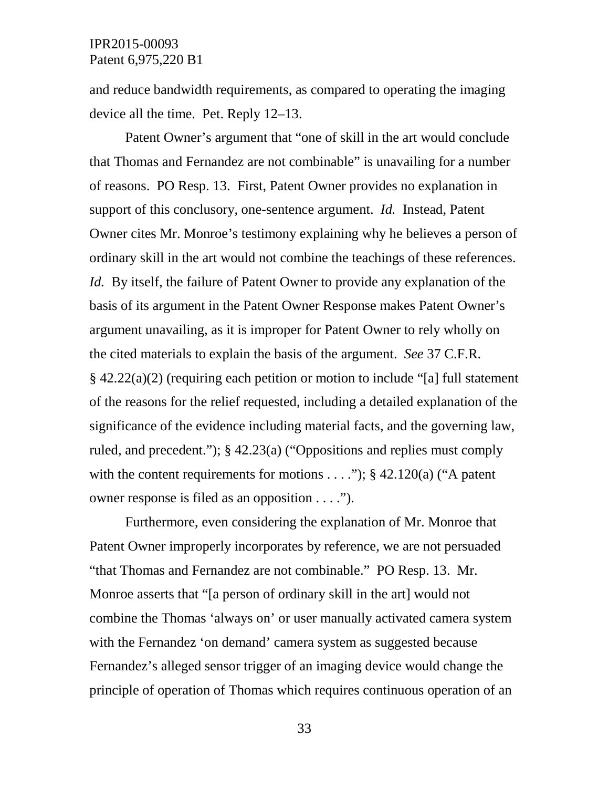and reduce bandwidth requirements, as compared to operating the imaging device all the time. Pet. Reply 12–13.

Patent Owner's argument that "one of skill in the art would conclude that Thomas and Fernandez are not combinable" is unavailing for a number of reasons. PO Resp. 13. First, Patent Owner provides no explanation in support of this conclusory, one-sentence argument. *Id.* Instead, Patent Owner cites Mr. Monroe's testimony explaining why he believes a person of ordinary skill in the art would not combine the teachings of these references. *Id.* By itself, the failure of Patent Owner to provide any explanation of the basis of its argument in the Patent Owner Response makes Patent Owner's argument unavailing, as it is improper for Patent Owner to rely wholly on the cited materials to explain the basis of the argument. *See* 37 C.F.R. § 42.22(a)(2) (requiring each petition or motion to include "[a] full statement of the reasons for the relief requested, including a detailed explanation of the significance of the evidence including material facts, and the governing law, ruled, and precedent."); § 42.23(a) ("Oppositions and replies must comply with the content requirements for motions  $\dots$ "); § 42.120(a) ("A patent owner response is filed as an opposition . . . .").

Furthermore, even considering the explanation of Mr. Monroe that Patent Owner improperly incorporates by reference, we are not persuaded "that Thomas and Fernandez are not combinable." PO Resp. 13. Mr. Monroe asserts that "[a person of ordinary skill in the art] would not combine the Thomas 'always on' or user manually activated camera system with the Fernandez 'on demand' camera system as suggested because Fernandez's alleged sensor trigger of an imaging device would change the principle of operation of Thomas which requires continuous operation of an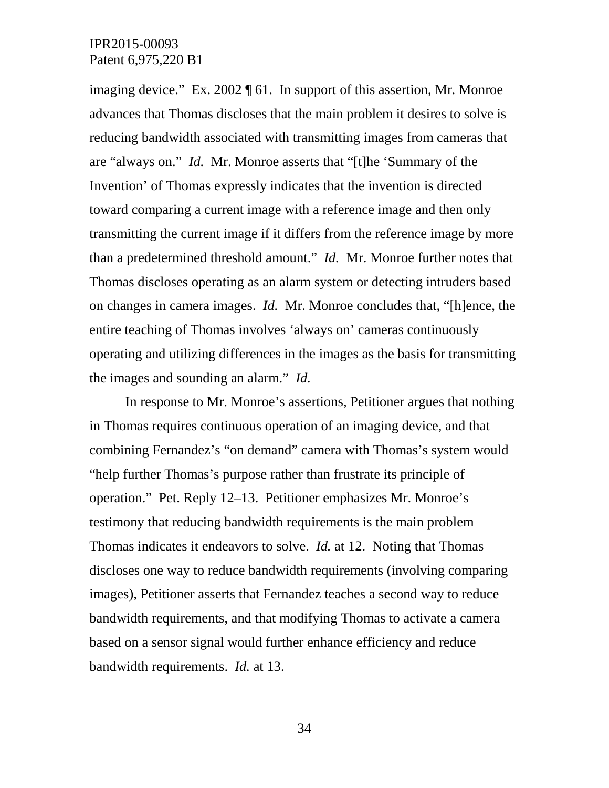imaging device." Ex. 2002 ¶ 61. In support of this assertion, Mr. Monroe advances that Thomas discloses that the main problem it desires to solve is reducing bandwidth associated with transmitting images from cameras that are "always on." *Id.* Mr. Monroe asserts that "[t]he 'Summary of the Invention' of Thomas expressly indicates that the invention is directed toward comparing a current image with a reference image and then only transmitting the current image if it differs from the reference image by more than a predetermined threshold amount." *Id.* Mr. Monroe further notes that Thomas discloses operating as an alarm system or detecting intruders based on changes in camera images. *Id.* Mr. Monroe concludes that, "[h]ence, the entire teaching of Thomas involves 'always on' cameras continuously operating and utilizing differences in the images as the basis for transmitting the images and sounding an alarm." *Id.*

In response to Mr. Monroe's assertions, Petitioner argues that nothing in Thomas requires continuous operation of an imaging device, and that combining Fernandez's "on demand" camera with Thomas's system would "help further Thomas's purpose rather than frustrate its principle of operation." Pet. Reply 12–13. Petitioner emphasizes Mr. Monroe's testimony that reducing bandwidth requirements is the main problem Thomas indicates it endeavors to solve. *Id.* at 12. Noting that Thomas discloses one way to reduce bandwidth requirements (involving comparing images), Petitioner asserts that Fernandez teaches a second way to reduce bandwidth requirements, and that modifying Thomas to activate a camera based on a sensor signal would further enhance efficiency and reduce bandwidth requirements. *Id.* at 13.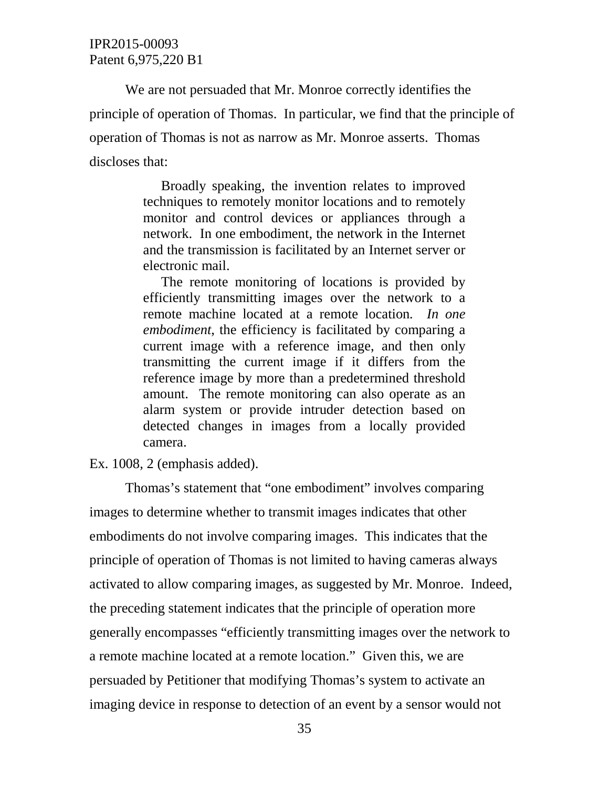We are not persuaded that Mr. Monroe correctly identifies the principle of operation of Thomas. In particular, we find that the principle of operation of Thomas is not as narrow as Mr. Monroe asserts. Thomas discloses that:

> Broadly speaking, the invention relates to improved techniques to remotely monitor locations and to remotely monitor and control devices or appliances through a network. In one embodiment, the network in the Internet and the transmission is facilitated by an Internet server or electronic mail.

> The remote monitoring of locations is provided by efficiently transmitting images over the network to a remote machine located at a remote location*. In one embodiment*, the efficiency is facilitated by comparing a current image with a reference image, and then only transmitting the current image if it differs from the reference image by more than a predetermined threshold amount. The remote monitoring can also operate as an alarm system or provide intruder detection based on detected changes in images from a locally provided camera.

Ex. 1008, 2 (emphasis added).

Thomas's statement that "one embodiment" involves comparing images to determine whether to transmit images indicates that other embodiments do not involve comparing images. This indicates that the principle of operation of Thomas is not limited to having cameras always activated to allow comparing images, as suggested by Mr. Monroe. Indeed, the preceding statement indicates that the principle of operation more generally encompasses "efficiently transmitting images over the network to a remote machine located at a remote location." Given this, we are persuaded by Petitioner that modifying Thomas's system to activate an imaging device in response to detection of an event by a sensor would not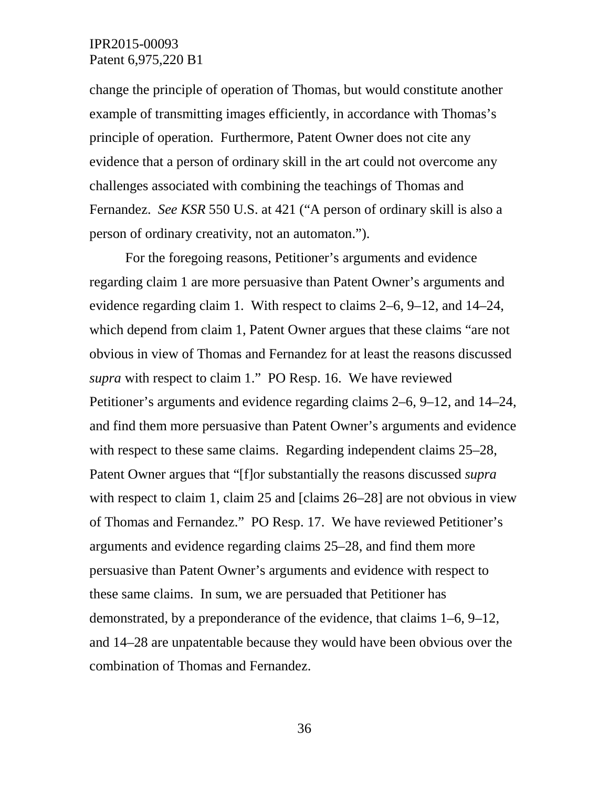change the principle of operation of Thomas, but would constitute another example of transmitting images efficiently, in accordance with Thomas's principle of operation. Furthermore, Patent Owner does not cite any evidence that a person of ordinary skill in the art could not overcome any challenges associated with combining the teachings of Thomas and Fernandez. *See KSR* 550 U.S. at 421 ("A person of ordinary skill is also a person of ordinary creativity, not an automaton.").

For the foregoing reasons, Petitioner's arguments and evidence regarding claim 1 are more persuasive than Patent Owner's arguments and evidence regarding claim 1. With respect to claims 2–6, 9–12, and 14–24, which depend from claim 1, Patent Owner argues that these claims "are not obvious in view of Thomas and Fernandez for at least the reasons discussed *supra* with respect to claim 1." PO Resp. 16. We have reviewed Petitioner's arguments and evidence regarding claims 2–6, 9–12, and 14–24, and find them more persuasive than Patent Owner's arguments and evidence with respect to these same claims. Regarding independent claims 25–28, Patent Owner argues that "[f]or substantially the reasons discussed *supra* with respect to claim 1, claim 25 and [claims 26–28] are not obvious in view of Thomas and Fernandez." PO Resp. 17. We have reviewed Petitioner's arguments and evidence regarding claims 25–28, and find them more persuasive than Patent Owner's arguments and evidence with respect to these same claims. In sum, we are persuaded that Petitioner has demonstrated, by a preponderance of the evidence, that claims 1–6, 9–12, and 14–28 are unpatentable because they would have been obvious over the combination of Thomas and Fernandez.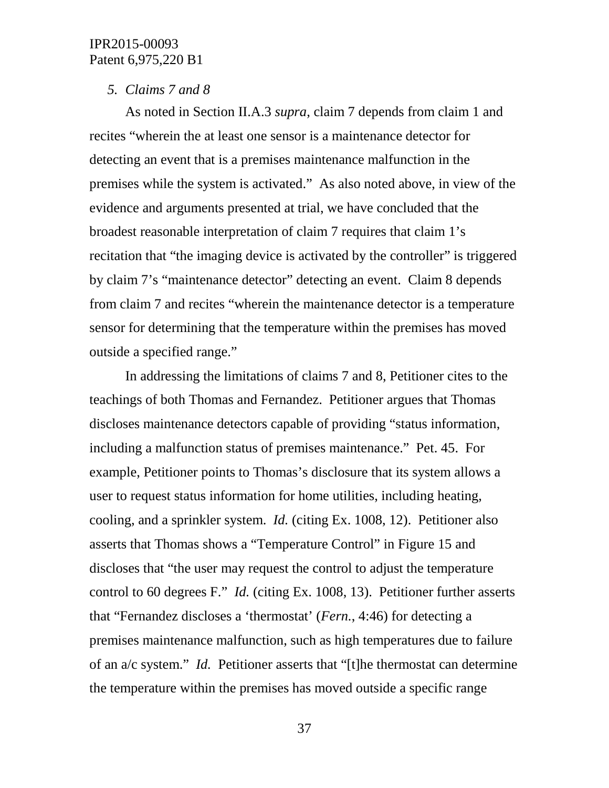#### *5. Claims 7 and 8*

As noted in Section II.A.3 *supra*, claim 7 depends from claim 1 and recites "wherein the at least one sensor is a maintenance detector for detecting an event that is a premises maintenance malfunction in the premises while the system is activated." As also noted above, in view of the evidence and arguments presented at trial, we have concluded that the broadest reasonable interpretation of claim 7 requires that claim 1's recitation that "the imaging device is activated by the controller" is triggered by claim 7's "maintenance detector" detecting an event. Claim 8 depends from claim 7 and recites "wherein the maintenance detector is a temperature sensor for determining that the temperature within the premises has moved outside a specified range."

In addressing the limitations of claims 7 and 8, Petitioner cites to the teachings of both Thomas and Fernandez. Petitioner argues that Thomas discloses maintenance detectors capable of providing "status information, including a malfunction status of premises maintenance." Pet. 45. For example, Petitioner points to Thomas's disclosure that its system allows a user to request status information for home utilities, including heating, cooling, and a sprinkler system. *Id.* (citing Ex. 1008, 12). Petitioner also asserts that Thomas shows a "Temperature Control" in Figure 15 and discloses that "the user may request the control to adjust the temperature control to 60 degrees F." *Id.* (citing Ex. 1008, 13). Petitioner further asserts that "Fernandez discloses a 'thermostat' (*Fern.*, 4:46) for detecting a premises maintenance malfunction, such as high temperatures due to failure of an a/c system." *Id.* Petitioner asserts that "[t]he thermostat can determine the temperature within the premises has moved outside a specific range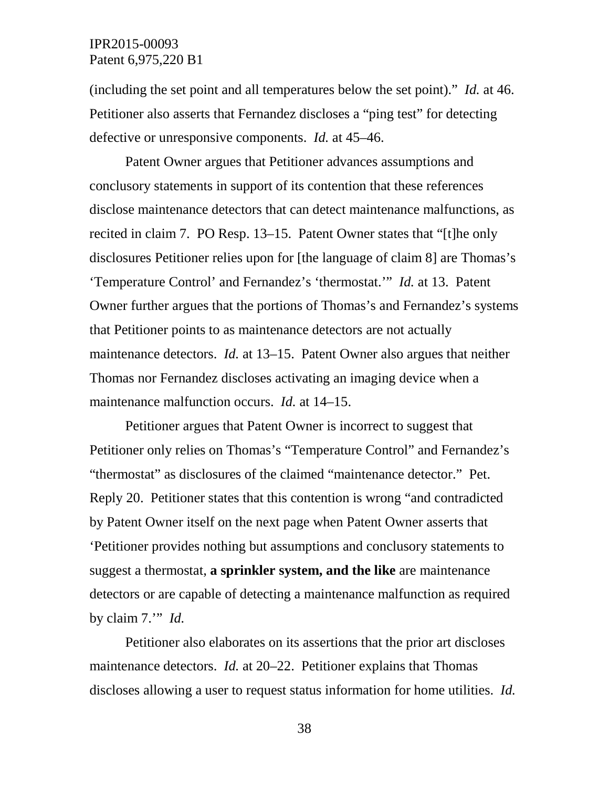(including the set point and all temperatures below the set point)." *Id.* at 46. Petitioner also asserts that Fernandez discloses a "ping test" for detecting defective or unresponsive components. *Id.* at 45–46.

Patent Owner argues that Petitioner advances assumptions and conclusory statements in support of its contention that these references disclose maintenance detectors that can detect maintenance malfunctions, as recited in claim 7. PO Resp. 13–15. Patent Owner states that "[t]he only disclosures Petitioner relies upon for [the language of claim 8] are Thomas's 'Temperature Control' and Fernandez's 'thermostat.'" *Id.* at 13. Patent Owner further argues that the portions of Thomas's and Fernandez's systems that Petitioner points to as maintenance detectors are not actually maintenance detectors. *Id.* at 13–15. Patent Owner also argues that neither Thomas nor Fernandez discloses activating an imaging device when a maintenance malfunction occurs. *Id.* at 14–15.

Petitioner argues that Patent Owner is incorrect to suggest that Petitioner only relies on Thomas's "Temperature Control" and Fernandez's "thermostat" as disclosures of the claimed "maintenance detector." Pet. Reply 20. Petitioner states that this contention is wrong "and contradicted by Patent Owner itself on the next page when Patent Owner asserts that 'Petitioner provides nothing but assumptions and conclusory statements to suggest a thermostat, **a sprinkler system, and the like** are maintenance detectors or are capable of detecting a maintenance malfunction as required by claim 7.'" *Id.*

Petitioner also elaborates on its assertions that the prior art discloses maintenance detectors. *Id.* at 20–22. Petitioner explains that Thomas discloses allowing a user to request status information for home utilities. *Id.*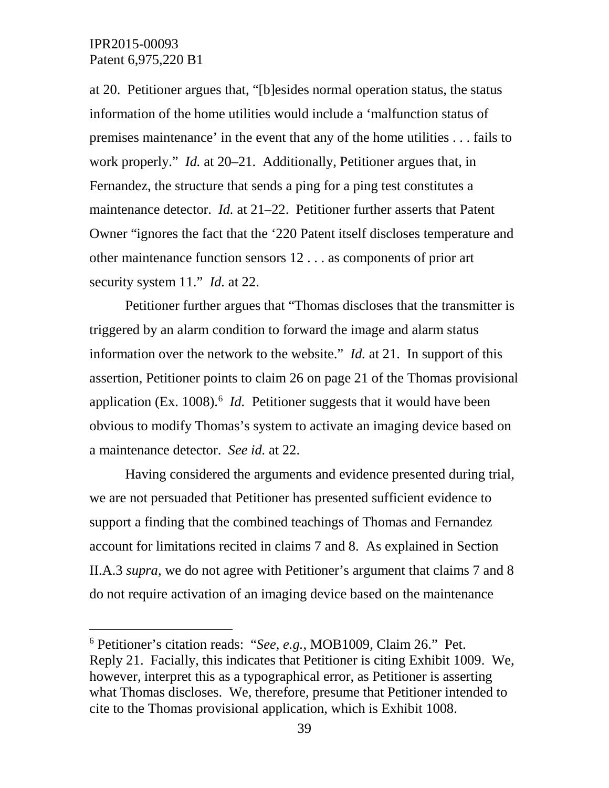at 20. Petitioner argues that, "[b]esides normal operation status, the status information of the home utilities would include a 'malfunction status of premises maintenance' in the event that any of the home utilities . . . fails to work properly." *Id.* at 20–21. Additionally, Petitioner argues that, in Fernandez, the structure that sends a ping for a ping test constitutes a maintenance detector. *Id.* at 21–22. Petitioner further asserts that Patent Owner "ignores the fact that the '220 Patent itself discloses temperature and other maintenance function sensors 12 . . . as components of prior art security system 11." *Id.* at 22.

Petitioner further argues that "Thomas discloses that the transmitter is triggered by an alarm condition to forward the image and alarm status information over the network to the website." *Id.* at 21. In support of this assertion, Petitioner points to claim 26 on page 21 of the Thomas provisional application (Ex. 1008).<sup>[6](#page-38-0)</sup> *Id*. Petitioner suggests that it would have been obvious to modify Thomas's system to activate an imaging device based on a maintenance detector. *See id.* at 22.

Having considered the arguments and evidence presented during trial, we are not persuaded that Petitioner has presented sufficient evidence to support a finding that the combined teachings of Thomas and Fernandez account for limitations recited in claims 7 and 8. As explained in Section II.A.3 *supra*, we do not agree with Petitioner's argument that claims 7 and 8 do not require activation of an imaging device based on the maintenance

<span id="page-38-0"></span> <sup>6</sup> Petitioner's citation reads: "*See, e.g.*, MOB1009, Claim 26." Pet. Reply 21. Facially, this indicates that Petitioner is citing Exhibit 1009. We, however, interpret this as a typographical error, as Petitioner is asserting what Thomas discloses. We, therefore, presume that Petitioner intended to cite to the Thomas provisional application, which is Exhibit 1008.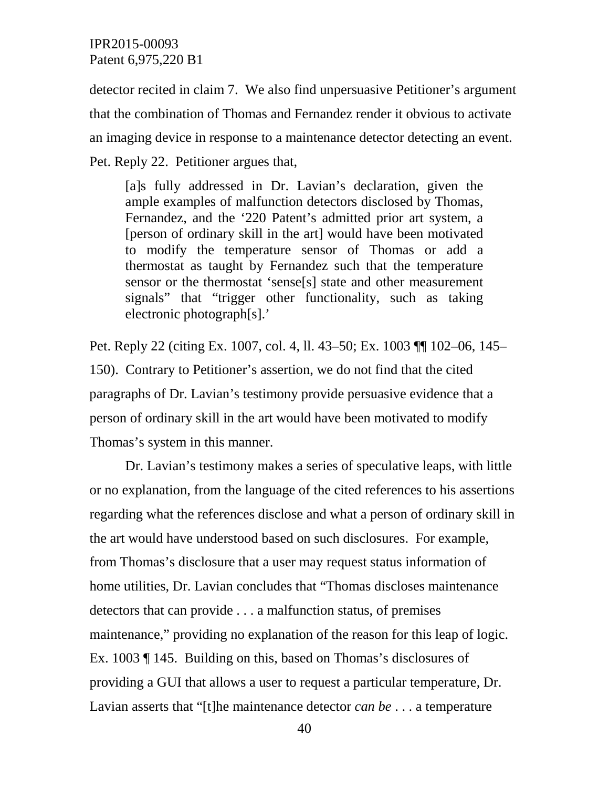detector recited in claim 7. We also find unpersuasive Petitioner's argument that the combination of Thomas and Fernandez render it obvious to activate an imaging device in response to a maintenance detector detecting an event. Pet. Reply 22. Petitioner argues that,

[a]s fully addressed in Dr. Lavian's declaration, given the ample examples of malfunction detectors disclosed by Thomas, Fernandez, and the '220 Patent's admitted prior art system, a [person of ordinary skill in the art] would have been motivated to modify the temperature sensor of Thomas or add a thermostat as taught by Fernandez such that the temperature sensor or the thermostat 'sense[s] state and other measurement signals" that "trigger other functionality, such as taking electronic photograph[s].'

Pet. Reply 22 (citing Ex. 1007, col. 4, ll. 43–50; Ex. 1003 ¶¶ 102–06, 145– 150). Contrary to Petitioner's assertion, we do not find that the cited paragraphs of Dr. Lavian's testimony provide persuasive evidence that a person of ordinary skill in the art would have been motivated to modify Thomas's system in this manner.

Dr. Lavian's testimony makes a series of speculative leaps, with little or no explanation, from the language of the cited references to his assertions regarding what the references disclose and what a person of ordinary skill in the art would have understood based on such disclosures. For example, from Thomas's disclosure that a user may request status information of home utilities, Dr. Lavian concludes that "Thomas discloses maintenance detectors that can provide . . . a malfunction status, of premises maintenance," providing no explanation of the reason for this leap of logic. Ex. 1003 ¶ 145. Building on this, based on Thomas's disclosures of providing a GUI that allows a user to request a particular temperature, Dr. Lavian asserts that "[t]he maintenance detector *can be* . . . a temperature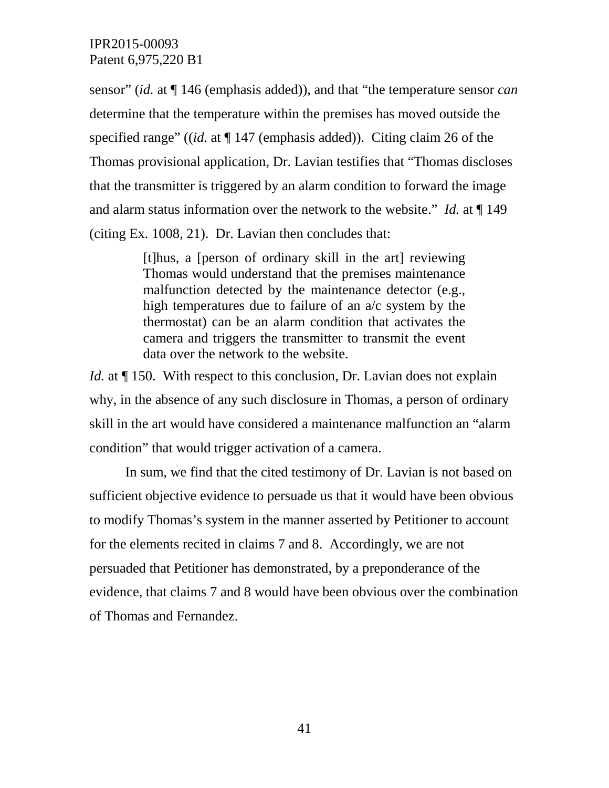sensor" (*id.* at ¶ 146 (emphasis added)), and that "the temperature sensor *can* determine that the temperature within the premises has moved outside the specified range" ((*id.* at ¶ 147 (emphasis added)). Citing claim 26 of the Thomas provisional application, Dr. Lavian testifies that "Thomas discloses that the transmitter is triggered by an alarm condition to forward the image and alarm status information over the network to the website." *Id.* at ¶ 149 (citing Ex. 1008, 21). Dr. Lavian then concludes that:

> [t]hus, a [person of ordinary skill in the art] reviewing Thomas would understand that the premises maintenance malfunction detected by the maintenance detector (e.g., high temperatures due to failure of an  $a/c$  system by the thermostat) can be an alarm condition that activates the camera and triggers the transmitter to transmit the event data over the network to the website.

*Id.* at  $\P$  150. With respect to this conclusion, Dr. Lavian does not explain why, in the absence of any such disclosure in Thomas, a person of ordinary skill in the art would have considered a maintenance malfunction an "alarm condition" that would trigger activation of a camera.

In sum, we find that the cited testimony of Dr. Lavian is not based on sufficient objective evidence to persuade us that it would have been obvious to modify Thomas's system in the manner asserted by Petitioner to account for the elements recited in claims 7 and 8. Accordingly, we are not persuaded that Petitioner has demonstrated, by a preponderance of the evidence, that claims 7 and 8 would have been obvious over the combination of Thomas and Fernandez.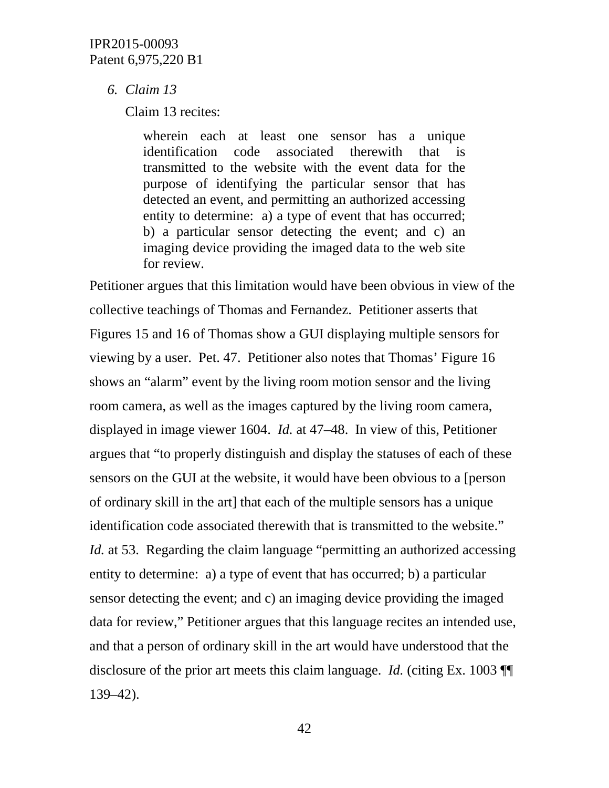## *6. Claim 13*

Claim 13 recites:

wherein each at least one sensor has a unique identification code associated therewith that is transmitted to the website with the event data for the purpose of identifying the particular sensor that has detected an event, and permitting an authorized accessing entity to determine: a) a type of event that has occurred; b) a particular sensor detecting the event; and c) an imaging device providing the imaged data to the web site for review.

Petitioner argues that this limitation would have been obvious in view of the collective teachings of Thomas and Fernandez. Petitioner asserts that Figures 15 and 16 of Thomas show a GUI displaying multiple sensors for viewing by a user. Pet. 47. Petitioner also notes that Thomas' Figure 16 shows an "alarm" event by the living room motion sensor and the living room camera, as well as the images captured by the living room camera, displayed in image viewer 1604. *Id.* at 47–48. In view of this, Petitioner argues that "to properly distinguish and display the statuses of each of these sensors on the GUI at the website, it would have been obvious to a [person of ordinary skill in the art] that each of the multiple sensors has a unique identification code associated therewith that is transmitted to the website." *Id.* at 53. Regarding the claim language "permitting an authorized accessing entity to determine: a) a type of event that has occurred; b) a particular sensor detecting the event; and c) an imaging device providing the imaged data for review," Petitioner argues that this language recites an intended use, and that a person of ordinary skill in the art would have understood that the disclosure of the prior art meets this claim language. *Id.* (citing Ex. 1003 **[9]** 139–42).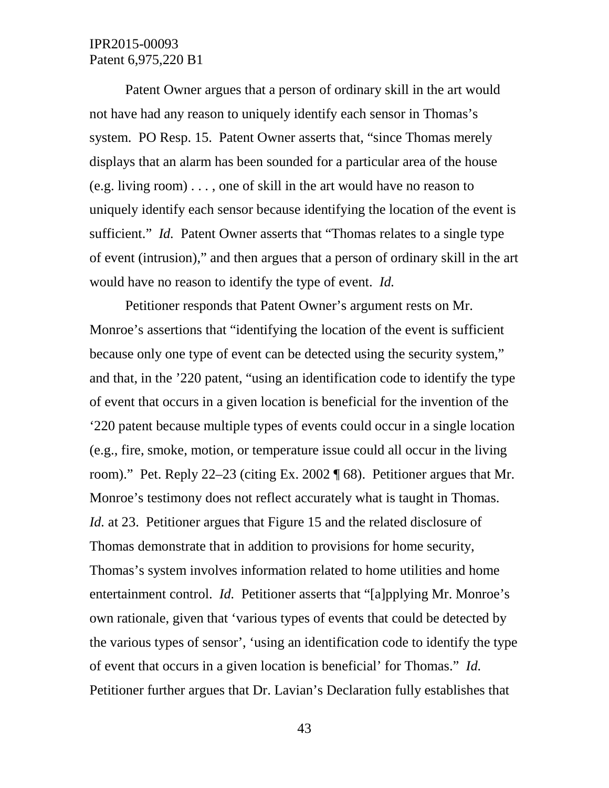Patent Owner argues that a person of ordinary skill in the art would not have had any reason to uniquely identify each sensor in Thomas's system. PO Resp. 15. Patent Owner asserts that, "since Thomas merely displays that an alarm has been sounded for a particular area of the house (e.g. living room) . . . , one of skill in the art would have no reason to uniquely identify each sensor because identifying the location of the event is sufficient." *Id.* Patent Owner asserts that "Thomas relates to a single type of event (intrusion)," and then argues that a person of ordinary skill in the art would have no reason to identify the type of event. *Id.*

Petitioner responds that Patent Owner's argument rests on Mr. Monroe's assertions that "identifying the location of the event is sufficient because only one type of event can be detected using the security system," and that, in the '220 patent, "using an identification code to identify the type of event that occurs in a given location is beneficial for the invention of the '220 patent because multiple types of events could occur in a single location (e.g., fire, smoke, motion, or temperature issue could all occur in the living room)." Pet. Reply 22–23 (citing Ex. 2002 ¶ 68). Petitioner argues that Mr. Monroe's testimony does not reflect accurately what is taught in Thomas. *Id.* at 23. Petitioner argues that Figure 15 and the related disclosure of Thomas demonstrate that in addition to provisions for home security, Thomas's system involves information related to home utilities and home entertainment control. *Id.* Petitioner asserts that "[a]pplying Mr. Monroe's own rationale, given that 'various types of events that could be detected by the various types of sensor', 'using an identification code to identify the type of event that occurs in a given location is beneficial' for Thomas." *Id.* Petitioner further argues that Dr. Lavian's Declaration fully establishes that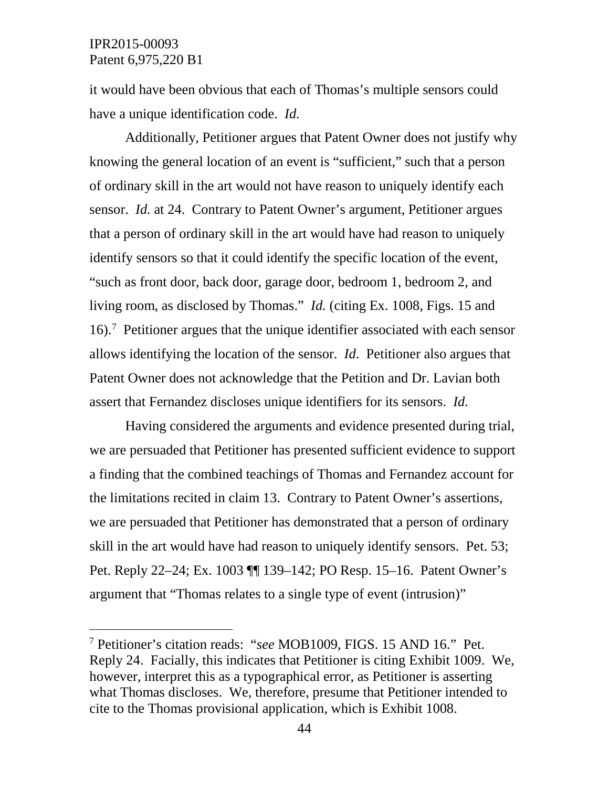it would have been obvious that each of Thomas's multiple sensors could have a unique identification code. *Id.*

Additionally, Petitioner argues that Patent Owner does not justify why knowing the general location of an event is "sufficient," such that a person of ordinary skill in the art would not have reason to uniquely identify each sensor. *Id.* at 24. Contrary to Patent Owner's argument, Petitioner argues that a person of ordinary skill in the art would have had reason to uniquely identify sensors so that it could identify the specific location of the event, "such as front door, back door, garage door, bedroom 1, bedroom 2, and living room, as disclosed by Thomas." *Id.* (citing Ex. 1008, Figs. 15 and 16).[7](#page-43-0) Petitioner argues that the unique identifier associated with each sensor allows identifying the location of the sensor. *Id*. Petitioner also argues that Patent Owner does not acknowledge that the Petition and Dr. Lavian both assert that Fernandez discloses unique identifiers for its sensors. *Id.*

Having considered the arguments and evidence presented during trial, we are persuaded that Petitioner has presented sufficient evidence to support a finding that the combined teachings of Thomas and Fernandez account for the limitations recited in claim 13. Contrary to Patent Owner's assertions, we are persuaded that Petitioner has demonstrated that a person of ordinary skill in the art would have had reason to uniquely identify sensors. Pet. 53; Pet. Reply 22–24; Ex. 1003 ¶¶ 139–142; PO Resp. 15–16. Patent Owner's argument that "Thomas relates to a single type of event (intrusion)"

<span id="page-43-0"></span> <sup>7</sup> Petitioner's citation reads: "*see* MOB1009, FIGS. 15 AND 16." Pet. Reply 24. Facially, this indicates that Petitioner is citing Exhibit 1009. We, however, interpret this as a typographical error, as Petitioner is asserting what Thomas discloses. We, therefore, presume that Petitioner intended to cite to the Thomas provisional application, which is Exhibit 1008.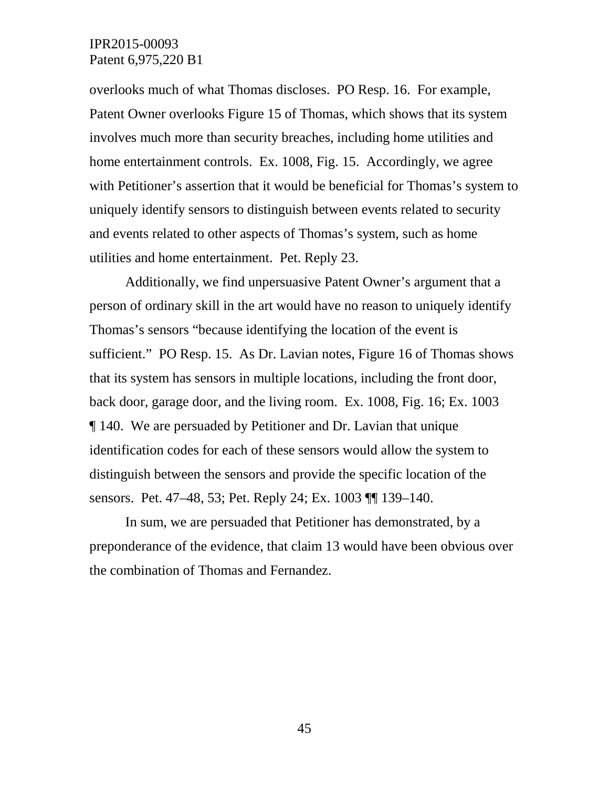overlooks much of what Thomas discloses. PO Resp. 16. For example, Patent Owner overlooks Figure 15 of Thomas, which shows that its system involves much more than security breaches, including home utilities and home entertainment controls. Ex. 1008, Fig. 15. Accordingly, we agree with Petitioner's assertion that it would be beneficial for Thomas's system to uniquely identify sensors to distinguish between events related to security and events related to other aspects of Thomas's system, such as home utilities and home entertainment. Pet. Reply 23.

Additionally, we find unpersuasive Patent Owner's argument that a person of ordinary skill in the art would have no reason to uniquely identify Thomas's sensors "because identifying the location of the event is sufficient." PO Resp. 15. As Dr. Lavian notes, Figure 16 of Thomas shows that its system has sensors in multiple locations, including the front door, back door, garage door, and the living room. Ex. 1008, Fig. 16; Ex. 1003 ¶ 140. We are persuaded by Petitioner and Dr. Lavian that unique identification codes for each of these sensors would allow the system to distinguish between the sensors and provide the specific location of the sensors. Pet. 47–48, 53; Pet. Reply 24; Ex. 1003 ¶¶ 139–140.

In sum, we are persuaded that Petitioner has demonstrated, by a preponderance of the evidence, that claim 13 would have been obvious over the combination of Thomas and Fernandez.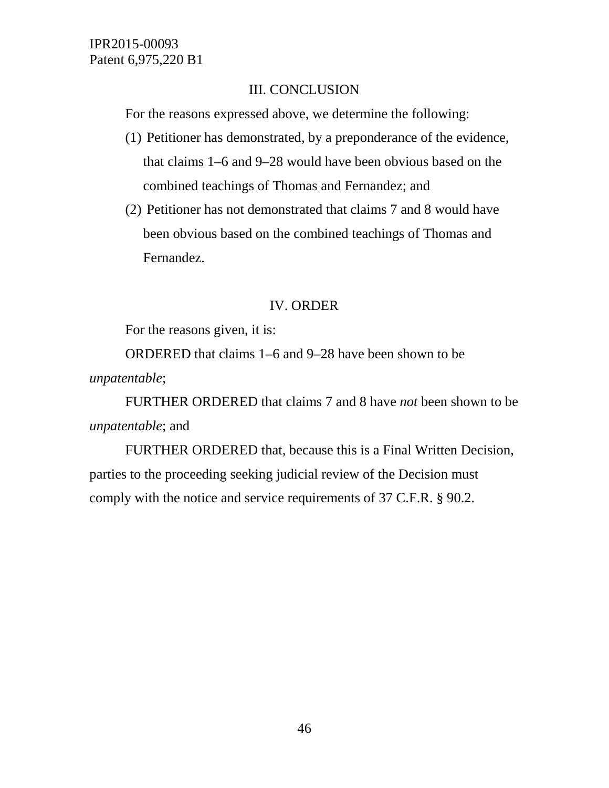## III. CONCLUSION

For the reasons expressed above, we determine the following:

- (1) Petitioner has demonstrated, by a preponderance of the evidence, that claims 1–6 and 9–28 would have been obvious based on the combined teachings of Thomas and Fernandez; and
- (2) Petitioner has not demonstrated that claims 7 and 8 would have been obvious based on the combined teachings of Thomas and Fernandez.

# IV. ORDER

For the reasons given, it is:

ORDERED that claims 1–6 and 9–28 have been shown to be *unpatentable*;

FURTHER ORDERED that claims 7 and 8 have *not* been shown to be *unpatentable*; and

FURTHER ORDERED that, because this is a Final Written Decision, parties to the proceeding seeking judicial review of the Decision must comply with the notice and service requirements of 37 C.F.R. § 90.2.